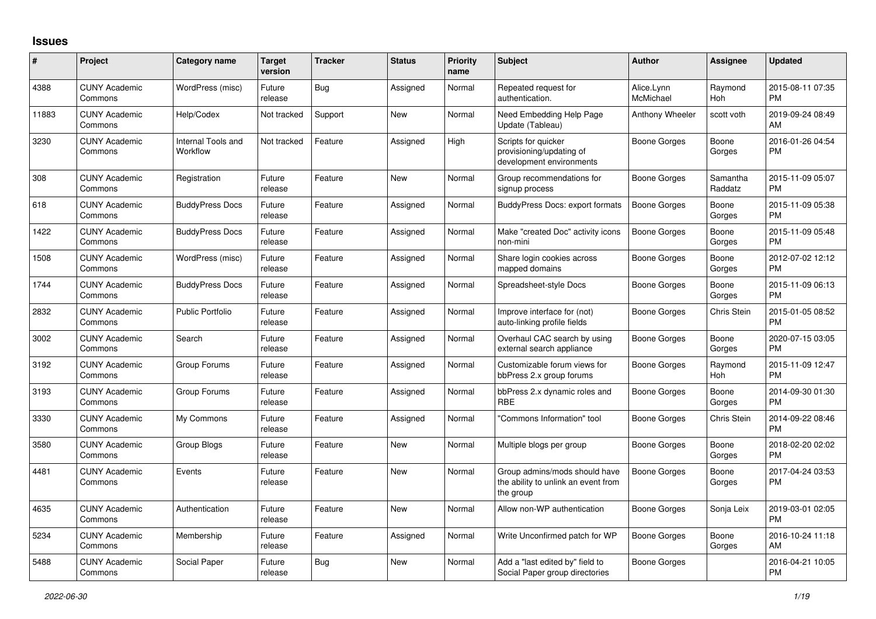## **Issues**

| #     | Project                         | Category name                  | <b>Target</b><br>version | <b>Tracker</b> | <b>Status</b> | Priority<br>name | <b>Subject</b>                                                                    | <b>Author</b>           | <b>Assignee</b>     | <b>Updated</b>                |
|-------|---------------------------------|--------------------------------|--------------------------|----------------|---------------|------------------|-----------------------------------------------------------------------------------|-------------------------|---------------------|-------------------------------|
| 4388  | <b>CUNY Academic</b><br>Commons | WordPress (misc)               | Future<br>release        | Bug            | Assigned      | Normal           | Repeated request for<br>authentication.                                           | Alice.Lynn<br>McMichael | Raymond<br>Hoh      | 2015-08-11 07:35<br><b>PM</b> |
| 11883 | <b>CUNY Academic</b><br>Commons | Help/Codex                     | Not tracked              | Support        | <b>New</b>    | Normal           | Need Embedding Help Page<br>Update (Tableau)                                      | Anthony Wheeler         | scott voth          | 2019-09-24 08:49<br>AM        |
| 3230  | <b>CUNY Academic</b><br>Commons | Internal Tools and<br>Workflow | Not tracked              | Feature        | Assigned      | High             | Scripts for quicker<br>provisioning/updating of<br>development environments       | Boone Gorges            | Boone<br>Gorges     | 2016-01-26 04:54<br><b>PM</b> |
| 308   | <b>CUNY Academic</b><br>Commons | Registration                   | Future<br>release        | Feature        | New           | Normal           | Group recommendations for<br>signup process                                       | Boone Gorges            | Samantha<br>Raddatz | 2015-11-09 05:07<br><b>PM</b> |
| 618   | <b>CUNY Academic</b><br>Commons | <b>BuddyPress Docs</b>         | Future<br>release        | Feature        | Assigned      | Normal           | <b>BuddyPress Docs: export formats</b>                                            | Boone Gorges            | Boone<br>Gorges     | 2015-11-09 05:38<br><b>PM</b> |
| 1422  | <b>CUNY Academic</b><br>Commons | <b>BuddyPress Docs</b>         | Future<br>release        | Feature        | Assigned      | Normal           | Make "created Doc" activity icons<br>non-mini                                     | <b>Boone Gorges</b>     | Boone<br>Gorges     | 2015-11-09 05:48<br><b>PM</b> |
| 1508  | <b>CUNY Academic</b><br>Commons | WordPress (misc)               | Future<br>release        | Feature        | Assigned      | Normal           | Share login cookies across<br>mapped domains                                      | Boone Gorges            | Boone<br>Gorges     | 2012-07-02 12:12<br><b>PM</b> |
| 1744  | <b>CUNY Academic</b><br>Commons | <b>BuddyPress Docs</b>         | Future<br>release        | Feature        | Assigned      | Normal           | Spreadsheet-style Docs                                                            | Boone Gorges            | Boone<br>Gorges     | 2015-11-09 06:13<br><b>PM</b> |
| 2832  | <b>CUNY Academic</b><br>Commons | <b>Public Portfolio</b>        | Future<br>release        | Feature        | Assigned      | Normal           | Improve interface for (not)<br>auto-linking profile fields                        | Boone Gorges            | Chris Stein         | 2015-01-05 08:52<br><b>PM</b> |
| 3002  | <b>CUNY Academic</b><br>Commons | Search                         | Future<br>release        | Feature        | Assigned      | Normal           | Overhaul CAC search by using<br>external search appliance                         | Boone Gorges            | Boone<br>Gorges     | 2020-07-15 03:05<br><b>PM</b> |
| 3192  | <b>CUNY Academic</b><br>Commons | Group Forums                   | Future<br>release        | Feature        | Assigned      | Normal           | Customizable forum views for<br>bbPress 2.x group forums                          | Boone Gorges            | Raymond<br>Hoh      | 2015-11-09 12:47<br><b>PM</b> |
| 3193  | <b>CUNY Academic</b><br>Commons | Group Forums                   | Future<br>release        | Feature        | Assigned      | Normal           | bbPress 2.x dynamic roles and<br><b>RBE</b>                                       | Boone Gorges            | Boone<br>Gorges     | 2014-09-30 01:30<br><b>PM</b> |
| 3330  | <b>CUNY Academic</b><br>Commons | My Commons                     | Future<br>release        | Feature        | Assigned      | Normal           | "Commons Information" tool                                                        | Boone Gorges            | Chris Stein         | 2014-09-22 08:46<br><b>PM</b> |
| 3580  | <b>CUNY Academic</b><br>Commons | Group Blogs                    | Future<br>release        | Feature        | <b>New</b>    | Normal           | Multiple blogs per group                                                          | Boone Gorges            | Boone<br>Gorges     | 2018-02-20 02:02<br><b>PM</b> |
| 4481  | <b>CUNY Academic</b><br>Commons | Events                         | Future<br>release        | Feature        | <b>New</b>    | Normal           | Group admins/mods should have<br>the ability to unlink an event from<br>the group | Boone Gorges            | Boone<br>Gorges     | 2017-04-24 03:53<br><b>PM</b> |
| 4635  | <b>CUNY Academic</b><br>Commons | Authentication                 | Future<br>release        | Feature        | <b>New</b>    | Normal           | Allow non-WP authentication                                                       | Boone Gorges            | Sonja Leix          | 2019-03-01 02:05<br><b>PM</b> |
| 5234  | <b>CUNY Academic</b><br>Commons | Membership                     | Future<br>release        | Feature        | Assigned      | Normal           | Write Unconfirmed patch for WP                                                    | Boone Gorges            | Boone<br>Gorges     | 2016-10-24 11:18<br>AM        |
| 5488  | <b>CUNY Academic</b><br>Commons | Social Paper                   | Future<br>release        | Bug            | New           | Normal           | Add a "last edited by" field to<br>Social Paper group directories                 | Boone Gorges            |                     | 2016-04-21 10:05<br><b>PM</b> |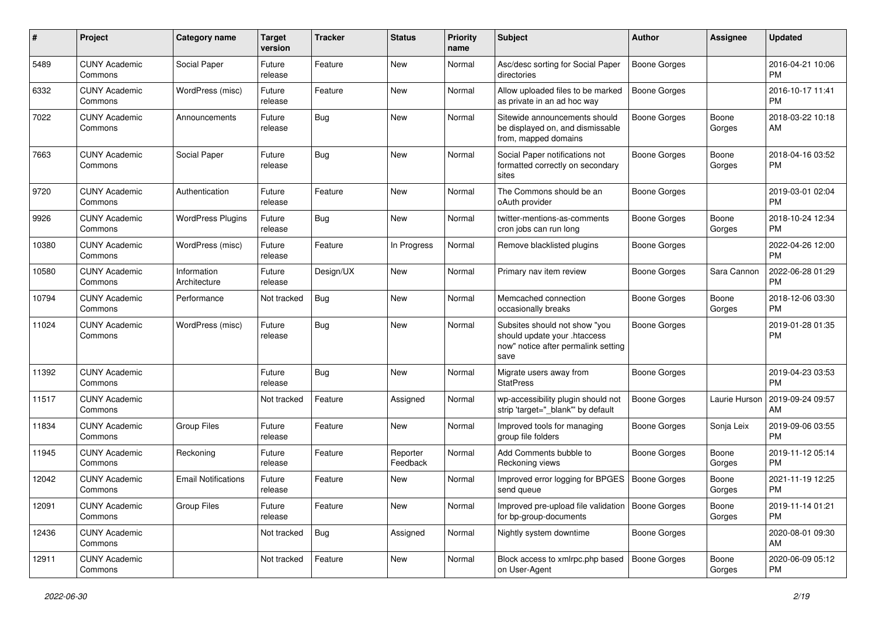| #     | Project                         | <b>Category name</b>        | <b>Target</b><br>version | <b>Tracker</b> | <b>Status</b>        | Priority<br>name | <b>Subject</b>                                                                                               | Author              | <b>Assignee</b> | <b>Updated</b>                |
|-------|---------------------------------|-----------------------------|--------------------------|----------------|----------------------|------------------|--------------------------------------------------------------------------------------------------------------|---------------------|-----------------|-------------------------------|
| 5489  | <b>CUNY Academic</b><br>Commons | Social Paper                | Future<br>release        | Feature        | <b>New</b>           | Normal           | Asc/desc sorting for Social Paper<br>directories                                                             | <b>Boone Gorges</b> |                 | 2016-04-21 10:06<br><b>PM</b> |
| 6332  | <b>CUNY Academic</b><br>Commons | WordPress (misc)            | Future<br>release        | Feature        | New                  | Normal           | Allow uploaded files to be marked<br>as private in an ad hoc way                                             | <b>Boone Gorges</b> |                 | 2016-10-17 11:41<br><b>PM</b> |
| 7022  | <b>CUNY Academic</b><br>Commons | Announcements               | Future<br>release        | Bug            | <b>New</b>           | Normal           | Sitewide announcements should<br>be displayed on, and dismissable<br>from, mapped domains                    | Boone Gorges        | Boone<br>Gorges | 2018-03-22 10:18<br>AM        |
| 7663  | <b>CUNY Academic</b><br>Commons | Social Paper                | Future<br>release        | Bug            | <b>New</b>           | Normal           | Social Paper notifications not<br>formatted correctly on secondary<br>sites                                  | <b>Boone Gorges</b> | Boone<br>Gorges | 2018-04-16 03:52<br><b>PM</b> |
| 9720  | <b>CUNY Academic</b><br>Commons | Authentication              | Future<br>release        | Feature        | New                  | Normal           | The Commons should be an<br>oAuth provider                                                                   | <b>Boone Gorges</b> |                 | 2019-03-01 02:04<br><b>PM</b> |
| 9926  | <b>CUNY Academic</b><br>Commons | <b>WordPress Plugins</b>    | Future<br>release        | Bug            | <b>New</b>           | Normal           | twitter-mentions-as-comments<br>cron jobs can run long                                                       | Boone Gorges        | Boone<br>Gorges | 2018-10-24 12:34<br><b>PM</b> |
| 10380 | <b>CUNY Academic</b><br>Commons | WordPress (misc)            | Future<br>release        | Feature        | In Progress          | Normal           | Remove blacklisted plugins                                                                                   | <b>Boone Gorges</b> |                 | 2022-04-26 12:00<br><b>PM</b> |
| 10580 | <b>CUNY Academic</b><br>Commons | Information<br>Architecture | Future<br>release        | Design/UX      | New                  | Normal           | Primary nav item review                                                                                      | <b>Boone Gorges</b> | Sara Cannon     | 2022-06-28 01:29<br><b>PM</b> |
| 10794 | <b>CUNY Academic</b><br>Commons | Performance                 | Not tracked              | Bug            | <b>New</b>           | Normal           | Memcached connection<br>occasionally breaks                                                                  | <b>Boone Gorges</b> | Boone<br>Gorges | 2018-12-06 03:30<br><b>PM</b> |
| 11024 | <b>CUNY Academic</b><br>Commons | WordPress (misc)            | Future<br>release        | Bug            | New                  | Normal           | Subsites should not show "you<br>should update your .htaccess<br>now" notice after permalink setting<br>save | <b>Boone Gorges</b> |                 | 2019-01-28 01:35<br><b>PM</b> |
| 11392 | <b>CUNY Academic</b><br>Commons |                             | Future<br>release        | Bug            | New                  | Normal           | Migrate users away from<br><b>StatPress</b>                                                                  | <b>Boone Gorges</b> |                 | 2019-04-23 03:53<br><b>PM</b> |
| 11517 | <b>CUNY Academic</b><br>Commons |                             | Not tracked              | Feature        | Assigned             | Normal           | wp-accessibility plugin should not<br>strip 'target="_blank"' by default                                     | <b>Boone Gorges</b> | Laurie Hurson   | 2019-09-24 09:57<br>AM        |
| 11834 | <b>CUNY Academic</b><br>Commons | <b>Group Files</b>          | Future<br>release        | Feature        | <b>New</b>           | Normal           | Improved tools for managing<br>group file folders                                                            | <b>Boone Gorges</b> | Sonja Leix      | 2019-09-06 03:55<br><b>PM</b> |
| 11945 | <b>CUNY Academic</b><br>Commons | Reckoning                   | Future<br>release        | Feature        | Reporter<br>Feedback | Normal           | Add Comments bubble to<br>Reckoning views                                                                    | <b>Boone Gorges</b> | Boone<br>Gorges | 2019-11-12 05:14<br><b>PM</b> |
| 12042 | <b>CUNY Academic</b><br>Commons | <b>Email Notifications</b>  | Future<br>release        | Feature        | New                  | Normal           | Improved error logging for BPGES<br>send queue                                                               | Boone Gorges        | Boone<br>Gorges | 2021-11-19 12:25<br><b>PM</b> |
| 12091 | <b>CUNY Academic</b><br>Commons | <b>Group Files</b>          | Future<br>release        | Feature        | New                  | Normal           | Improved pre-upload file validation   Boone Gorges<br>for bp-group-documents                                 |                     | Boone<br>Gorges | 2019-11-14 01:21<br><b>PM</b> |
| 12436 | <b>CUNY Academic</b><br>Commons |                             | Not tracked              | Bug            | Assigned             | Normal           | Nightly system downtime                                                                                      | <b>Boone Gorges</b> |                 | 2020-08-01 09:30<br>AM        |
| 12911 | <b>CUNY Academic</b><br>Commons |                             | Not tracked              | Feature        | New                  | Normal           | Block access to xmlrpc.php based<br>on User-Agent                                                            | Boone Gorges        | Boone<br>Gorges | 2020-06-09 05:12<br><b>PM</b> |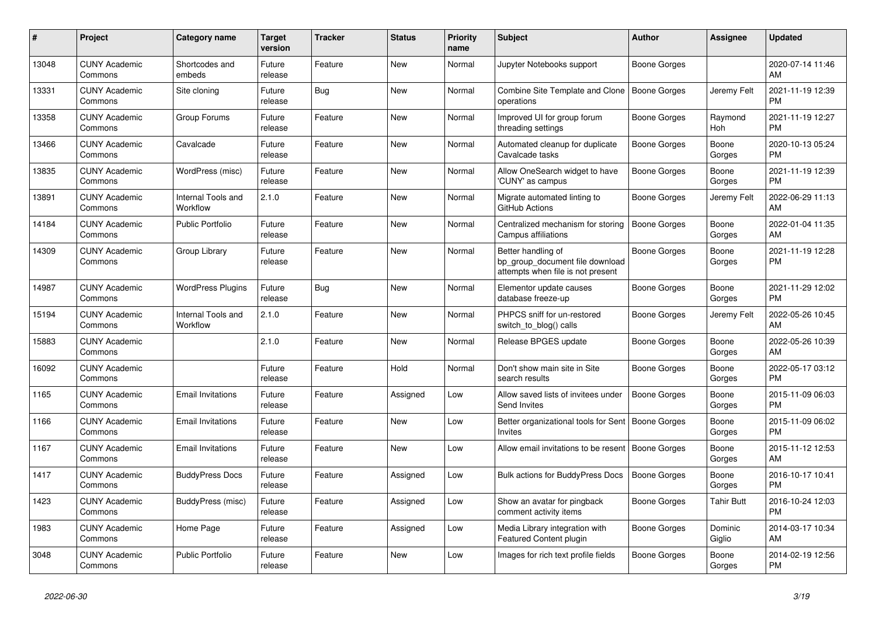| #     | Project                         | <b>Category name</b>           | <b>Target</b><br>version | <b>Tracker</b> | <b>Status</b> | Priority<br>name | <b>Subject</b>                                                                             | <b>Author</b>       | <b>Assignee</b>       | <b>Updated</b>                |
|-------|---------------------------------|--------------------------------|--------------------------|----------------|---------------|------------------|--------------------------------------------------------------------------------------------|---------------------|-----------------------|-------------------------------|
| 13048 | <b>CUNY Academic</b><br>Commons | Shortcodes and<br>embeds       | Future<br>release        | Feature        | New           | Normal           | Jupyter Notebooks support                                                                  | Boone Gorges        |                       | 2020-07-14 11:46<br>AM        |
| 13331 | <b>CUNY Academic</b><br>Commons | Site cloning                   | Future<br>release        | Bug            | New           | Normal           | Combine Site Template and Clone<br>operations                                              | Boone Gorges        | Jeremy Felt           | 2021-11-19 12:39<br><b>PM</b> |
| 13358 | <b>CUNY Academic</b><br>Commons | Group Forums                   | Future<br>release        | Feature        | <b>New</b>    | Normal           | Improved UI for group forum<br>threading settings                                          | Boone Gorges        | Raymond<br><b>Hoh</b> | 2021-11-19 12:27<br><b>PM</b> |
| 13466 | <b>CUNY Academic</b><br>Commons | Cavalcade                      | Future<br>release        | Feature        | <b>New</b>    | Normal           | Automated cleanup for duplicate<br>Cavalcade tasks                                         | Boone Gorges        | Boone<br>Gorges       | 2020-10-13 05:24<br><b>PM</b> |
| 13835 | <b>CUNY Academic</b><br>Commons | WordPress (misc)               | Future<br>release        | Feature        | New           | Normal           | Allow OneSearch widget to have<br>'CUNY' as campus                                         | <b>Boone Gorges</b> | Boone<br>Gorges       | 2021-11-19 12:39<br><b>PM</b> |
| 13891 | <b>CUNY Academic</b><br>Commons | Internal Tools and<br>Workflow | 2.1.0                    | Feature        | New           | Normal           | Migrate automated linting to<br>GitHub Actions                                             | Boone Gorges        | Jeremy Felt           | 2022-06-29 11:13<br>AM        |
| 14184 | <b>CUNY Academic</b><br>Commons | Public Portfolio               | Future<br>release        | Feature        | <b>New</b>    | Normal           | Centralized mechanism for storing<br>Campus affiliations                                   | <b>Boone Gorges</b> | Boone<br>Gorges       | 2022-01-04 11:35<br>AM        |
| 14309 | <b>CUNY Academic</b><br>Commons | Group Library                  | Future<br>release        | Feature        | <b>New</b>    | Normal           | Better handling of<br>bp group document file download<br>attempts when file is not present | Boone Gorges        | Boone<br>Gorges       | 2021-11-19 12:28<br>PM        |
| 14987 | <b>CUNY Academic</b><br>Commons | <b>WordPress Plugins</b>       | Future<br>release        | Bug            | <b>New</b>    | Normal           | Elementor update causes<br>database freeze-up                                              | Boone Gorges        | Boone<br>Gorges       | 2021-11-29 12:02<br><b>PM</b> |
| 15194 | <b>CUNY Academic</b><br>Commons | Internal Tools and<br>Workflow | 2.1.0                    | Feature        | <b>New</b>    | Normal           | PHPCS sniff for un-restored<br>switch to blog() calls                                      | <b>Boone Gorges</b> | Jeremy Felt           | 2022-05-26 10:45<br>AM        |
| 15883 | <b>CUNY Academic</b><br>Commons |                                | 2.1.0                    | Feature        | New           | Normal           | Release BPGES update                                                                       | Boone Gorges        | Boone<br>Gorges       | 2022-05-26 10:39<br>AM        |
| 16092 | <b>CUNY Academic</b><br>Commons |                                | Future<br>release        | Feature        | Hold          | Normal           | Don't show main site in Site<br>search results                                             | Boone Gorges        | Boone<br>Gorges       | 2022-05-17 03:12<br><b>PM</b> |
| 1165  | <b>CUNY Academic</b><br>Commons | <b>Email Invitations</b>       | Future<br>release        | Feature        | Assigned      | Low              | Allow saved lists of invitees under<br>Send Invites                                        | <b>Boone Gorges</b> | Boone<br>Gorges       | 2015-11-09 06:03<br><b>PM</b> |
| 1166  | <b>CUNY Academic</b><br>Commons | <b>Email Invitations</b>       | Future<br>release        | Feature        | New           | Low              | Better organizational tools for Sent<br><b>Invites</b>                                     | Boone Gorges        | Boone<br>Gorges       | 2015-11-09 06:02<br><b>PM</b> |
| 1167  | <b>CUNY Academic</b><br>Commons | Email Invitations              | Future<br>release        | Feature        | New           | Low              | Allow email invitations to be resent                                                       | Boone Gorges        | Boone<br>Gorges       | 2015-11-12 12:53<br>AM        |
| 1417  | <b>CUNY Academic</b><br>Commons | <b>BuddyPress Docs</b>         | Future<br>release        | Feature        | Assigned      | Low              | <b>Bulk actions for BuddyPress Docs</b>                                                    | <b>Boone Gorges</b> | Boone<br>Gorges       | 2016-10-17 10:41<br><b>PM</b> |
| 1423  | <b>CUNY Academic</b><br>Commons | BuddyPress (misc)              | Future<br>release        | Feature        | Assigned      | Low              | Show an avatar for pingback<br>comment activity items                                      | Boone Gorges        | Tahir Butt            | 2016-10-24 12:03<br><b>PM</b> |
| 1983  | <b>CUNY Academic</b><br>Commons | Home Page                      | Future<br>release        | Feature        | Assigned      | Low              | Media Library integration with<br><b>Featured Content plugin</b>                           | Boone Gorges        | Dominic<br>Giglio     | 2014-03-17 10:34<br>AM        |
| 3048  | <b>CUNY Academic</b><br>Commons | Public Portfolio               | Future<br>release        | Feature        | <b>New</b>    | Low              | Images for rich text profile fields                                                        | Boone Gorges        | Boone<br>Gorges       | 2014-02-19 12:56<br><b>PM</b> |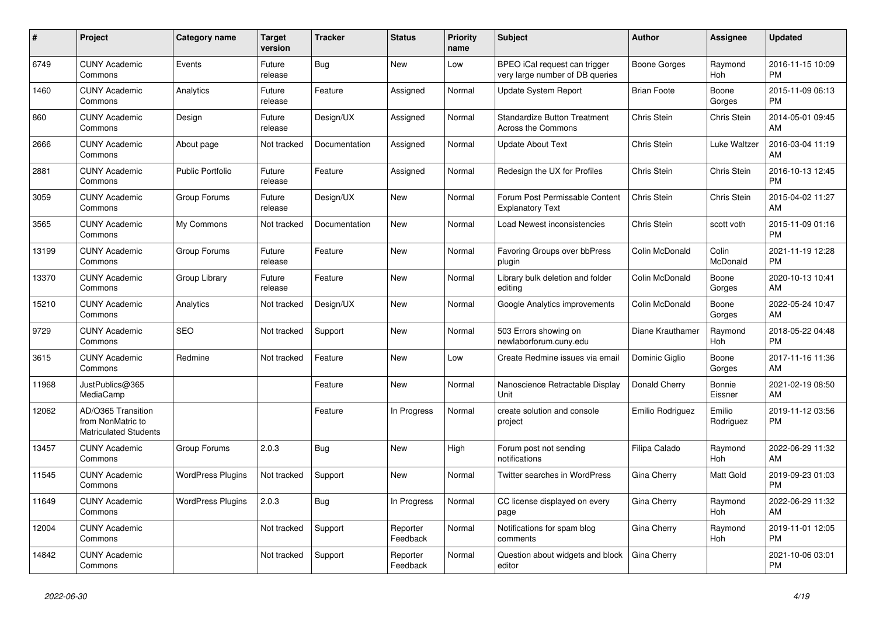| #     | <b>Project</b>                                                          | <b>Category name</b>     | <b>Target</b><br>version | <b>Tracker</b> | <b>Status</b>        | Priority<br>name | <b>Subject</b>                                                   | <b>Author</b>      | Assignee            | <b>Updated</b>                |
|-------|-------------------------------------------------------------------------|--------------------------|--------------------------|----------------|----------------------|------------------|------------------------------------------------------------------|--------------------|---------------------|-------------------------------|
| 6749  | <b>CUNY Academic</b><br>Commons                                         | Events                   | Future<br>release        | Bug            | <b>New</b>           | Low              | BPEO iCal request can trigger<br>very large number of DB queries | Boone Gorges       | Raymond<br>Hoh      | 2016-11-15 10:09<br><b>PM</b> |
| 1460  | <b>CUNY Academic</b><br>Commons                                         | Analytics                | Future<br>release        | Feature        | Assigned             | Normal           | <b>Update System Report</b>                                      | <b>Brian Foote</b> | Boone<br>Gorges     | 2015-11-09 06:13<br><b>PM</b> |
| 860   | <b>CUNY Academic</b><br>Commons                                         | Design                   | Future<br>release        | Design/UX      | Assigned             | Normal           | <b>Standardize Button Treatment</b><br><b>Across the Commons</b> | Chris Stein        | <b>Chris Stein</b>  | 2014-05-01 09:45<br>AM        |
| 2666  | <b>CUNY Academic</b><br>Commons                                         | About page               | Not tracked              | Documentation  | Assigned             | Normal           | <b>Update About Text</b>                                         | Chris Stein        | Luke Waltzer        | 2016-03-04 11:19<br>AM        |
| 2881  | <b>CUNY Academic</b><br>Commons                                         | <b>Public Portfolio</b>  | Future<br>release        | Feature        | Assigned             | Normal           | Redesign the UX for Profiles                                     | Chris Stein        | Chris Stein         | 2016-10-13 12:45<br><b>PM</b> |
| 3059  | <b>CUNY Academic</b><br>Commons                                         | Group Forums             | Future<br>release        | Design/UX      | New                  | Normal           | Forum Post Permissable Content<br><b>Explanatory Text</b>        | Chris Stein        | Chris Stein         | 2015-04-02 11:27<br>AM        |
| 3565  | <b>CUNY Academic</b><br>Commons                                         | My Commons               | Not tracked              | Documentation  | <b>New</b>           | Normal           | Load Newest inconsistencies                                      | Chris Stein        | scott voth          | 2015-11-09 01:16<br><b>PM</b> |
| 13199 | <b>CUNY Academic</b><br>Commons                                         | Group Forums             | Future<br>release        | Feature        | <b>New</b>           | Normal           | Favoring Groups over bbPress<br>plugin                           | Colin McDonald     | Colin<br>McDonald   | 2021-11-19 12:28<br><b>PM</b> |
| 13370 | <b>CUNY Academic</b><br>Commons                                         | Group Library            | Future<br>release        | Feature        | <b>New</b>           | Normal           | Library bulk deletion and folder<br>editing                      | Colin McDonald     | Boone<br>Gorges     | 2020-10-13 10:41<br>AM        |
| 15210 | <b>CUNY Academic</b><br>Commons                                         | Analytics                | Not tracked              | Design/UX      | New                  | Normal           | Google Analytics improvements                                    | Colin McDonald     | Boone<br>Gorges     | 2022-05-24 10:47<br>AM        |
| 9729  | <b>CUNY Academic</b><br>Commons                                         | <b>SEO</b>               | Not tracked              | Support        | <b>New</b>           | Normal           | 503 Errors showing on<br>newlaborforum.cuny.edu                  | Diane Krauthamer   | Raymond<br>Hoh      | 2018-05-22 04:48<br><b>PM</b> |
| 3615  | <b>CUNY Academic</b><br>Commons                                         | Redmine                  | Not tracked              | Feature        | New                  | Low              | Create Redmine issues via email                                  | Dominic Giglio     | Boone<br>Gorges     | 2017-11-16 11:36<br>AM        |
| 11968 | JustPublics@365<br>MediaCamp                                            |                          |                          | Feature        | New                  | Normal           | Nanoscience Retractable Display<br>Unit                          | Donald Cherry      | Bonnie<br>Eissner   | 2021-02-19 08:50<br>AM        |
| 12062 | AD/O365 Transition<br>from NonMatric to<br><b>Matriculated Students</b> |                          |                          | Feature        | In Progress          | Normal           | create solution and console<br>project                           | Emilio Rodriguez   | Emilio<br>Rodriguez | 2019-11-12 03:56<br><b>PM</b> |
| 13457 | <b>CUNY Academic</b><br>Commons                                         | Group Forums             | 2.0.3                    | <b>Bug</b>     | <b>New</b>           | High             | Forum post not sending<br>notifications                          | Filipa Calado      | Raymond<br>Hoh      | 2022-06-29 11:32<br>AM        |
| 11545 | <b>CUNY Academic</b><br>Commons                                         | <b>WordPress Plugins</b> | Not tracked              | Support        | <b>New</b>           | Normal           | Twitter searches in WordPress                                    | Gina Cherry        | Matt Gold           | 2019-09-23 01:03<br><b>PM</b> |
| 11649 | <b>CUNY Academic</b><br>Commons                                         | <b>WordPress Plugins</b> | 2.0.3                    | Bug            | In Progress          | Normal           | CC license displayed on every<br>page                            | Gina Cherry        | Raymond<br>Hoh      | 2022-06-29 11:32<br>AM        |
| 12004 | <b>CUNY Academic</b><br>Commons                                         |                          | Not tracked              | Support        | Reporter<br>Feedback | Normal           | Notifications for spam blog<br>comments                          | Gina Cherry        | Raymond<br>Hoh      | 2019-11-01 12:05<br><b>PM</b> |
| 14842 | <b>CUNY Academic</b><br>Commons                                         |                          | Not tracked              | Support        | Reporter<br>Feedback | Normal           | Question about widgets and block<br>editor                       | Gina Cherry        |                     | 2021-10-06 03:01<br><b>PM</b> |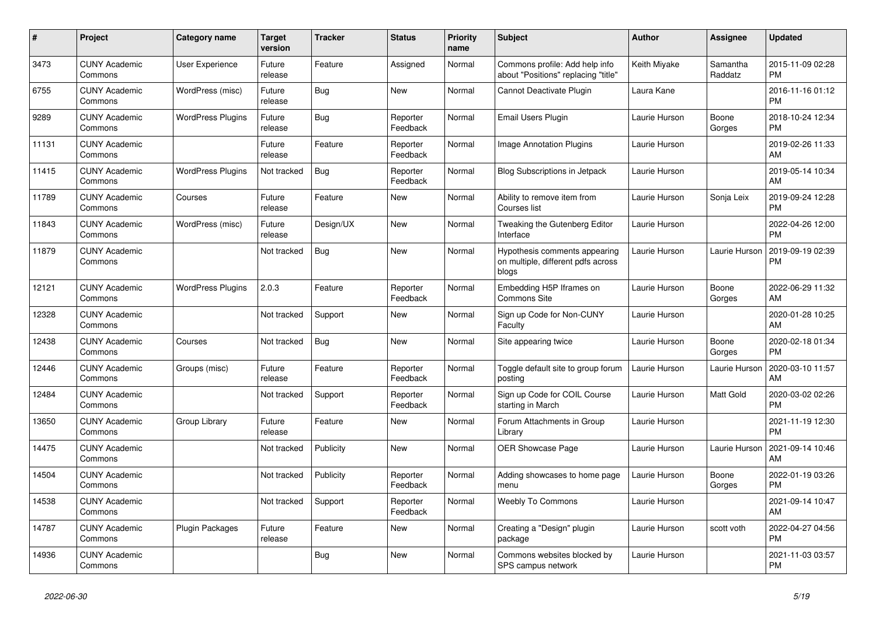| #     | Project                         | <b>Category name</b>     | <b>Target</b><br>version | <b>Tracker</b> | <b>Status</b>        | <b>Priority</b><br>name | <b>Subject</b>                                                               | <b>Author</b> | Assignee            | <b>Updated</b>                |
|-------|---------------------------------|--------------------------|--------------------------|----------------|----------------------|-------------------------|------------------------------------------------------------------------------|---------------|---------------------|-------------------------------|
| 3473  | <b>CUNY Academic</b><br>Commons | <b>User Experience</b>   | Future<br>release        | Feature        | Assigned             | Normal                  | Commons profile: Add help info<br>about "Positions" replacing "title"        | Keith Miyake  | Samantha<br>Raddatz | 2015-11-09 02:28<br><b>PM</b> |
| 6755  | <b>CUNY Academic</b><br>Commons | WordPress (misc)         | Future<br>release        | Bug            | New                  | Normal                  | Cannot Deactivate Plugin                                                     | Laura Kane    |                     | 2016-11-16 01:12<br><b>PM</b> |
| 9289  | <b>CUNY Academic</b><br>Commons | <b>WordPress Plugins</b> | Future<br>release        | <b>Bug</b>     | Reporter<br>Feedback | Normal                  | Email Users Plugin                                                           | Laurie Hurson | Boone<br>Gorges     | 2018-10-24 12:34<br><b>PM</b> |
| 11131 | <b>CUNY Academic</b><br>Commons |                          | Future<br>release        | Feature        | Reporter<br>Feedback | Normal                  | Image Annotation Plugins                                                     | Laurie Hurson |                     | 2019-02-26 11:33<br>AM        |
| 11415 | <b>CUNY Academic</b><br>Commons | <b>WordPress Plugins</b> | Not tracked              | <b>Bug</b>     | Reporter<br>Feedback | Normal                  | <b>Blog Subscriptions in Jetpack</b>                                         | Laurie Hurson |                     | 2019-05-14 10:34<br>AM        |
| 11789 | <b>CUNY Academic</b><br>Commons | Courses                  | Future<br>release        | Feature        | New                  | Normal                  | Ability to remove item from<br>Courses list                                  | Laurie Hurson | Sonja Leix          | 2019-09-24 12:28<br><b>PM</b> |
| 11843 | <b>CUNY Academic</b><br>Commons | WordPress (misc)         | Future<br>release        | Design/UX      | <b>New</b>           | Normal                  | Tweaking the Gutenberg Editor<br>Interface                                   | Laurie Hurson |                     | 2022-04-26 12:00<br><b>PM</b> |
| 11879 | <b>CUNY Academic</b><br>Commons |                          | Not tracked              | <b>Bug</b>     | <b>New</b>           | Normal                  | Hypothesis comments appearing<br>on multiple, different pdfs across<br>blogs | Laurie Hurson | Laurie Hurson       | 2019-09-19 02:39<br><b>PM</b> |
| 12121 | <b>CUNY Academic</b><br>Commons | <b>WordPress Plugins</b> | 2.0.3                    | Feature        | Reporter<br>Feedback | Normal                  | Embedding H5P Iframes on<br><b>Commons Site</b>                              | Laurie Hurson | Boone<br>Gorges     | 2022-06-29 11:32<br>AM        |
| 12328 | <b>CUNY Academic</b><br>Commons |                          | Not tracked              | Support        | New                  | Normal                  | Sign up Code for Non-CUNY<br>Faculty                                         | Laurie Hurson |                     | 2020-01-28 10:25<br>AM        |
| 12438 | <b>CUNY Academic</b><br>Commons | Courses                  | Not tracked              | <b>Bug</b>     | New                  | Normal                  | Site appearing twice                                                         | Laurie Hurson | Boone<br>Gorges     | 2020-02-18 01:34<br><b>PM</b> |
| 12446 | <b>CUNY Academic</b><br>Commons | Groups (misc)            | Future<br>release        | Feature        | Reporter<br>Feedback | Normal                  | Toggle default site to group forum<br>posting                                | Laurie Hurson | Laurie Hurson       | 2020-03-10 11:57<br>AM        |
| 12484 | <b>CUNY Academic</b><br>Commons |                          | Not tracked              | Support        | Reporter<br>Feedback | Normal                  | Sign up Code for COIL Course<br>starting in March                            | Laurie Hurson | Matt Gold           | 2020-03-02 02:26<br><b>PM</b> |
| 13650 | <b>CUNY Academic</b><br>Commons | Group Library            | Future<br>release        | Feature        | New                  | Normal                  | Forum Attachments in Group<br>Library                                        | Laurie Hurson |                     | 2021-11-19 12:30<br><b>PM</b> |
| 14475 | <b>CUNY Academic</b><br>Commons |                          | Not tracked              | Publicity      | <b>New</b>           | Normal                  | OER Showcase Page                                                            | Laurie Hurson | Laurie Hurson       | 2021-09-14 10:46<br>AM        |
| 14504 | <b>CUNY Academic</b><br>Commons |                          | Not tracked              | Publicity      | Reporter<br>Feedback | Normal                  | Adding showcases to home page<br>menu                                        | Laurie Hurson | Boone<br>Gorges     | 2022-01-19 03:26<br><b>PM</b> |
| 14538 | <b>CUNY Academic</b><br>Commons |                          | Not tracked              | Support        | Reporter<br>Feedback | Normal                  | <b>Weebly To Commons</b>                                                     | Laurie Hurson |                     | 2021-09-14 10:47<br>AM        |
| 14787 | <b>CUNY Academic</b><br>Commons | Plugin Packages          | Future<br>release        | Feature        | New                  | Normal                  | Creating a "Design" plugin<br>package                                        | Laurie Hurson | scott voth          | 2022-04-27 04:56<br><b>PM</b> |
| 14936 | <b>CUNY Academic</b><br>Commons |                          |                          | Bug            | <b>New</b>           | Normal                  | Commons websites blocked by<br>SPS campus network                            | Laurie Hurson |                     | 2021-11-03 03:57<br><b>PM</b> |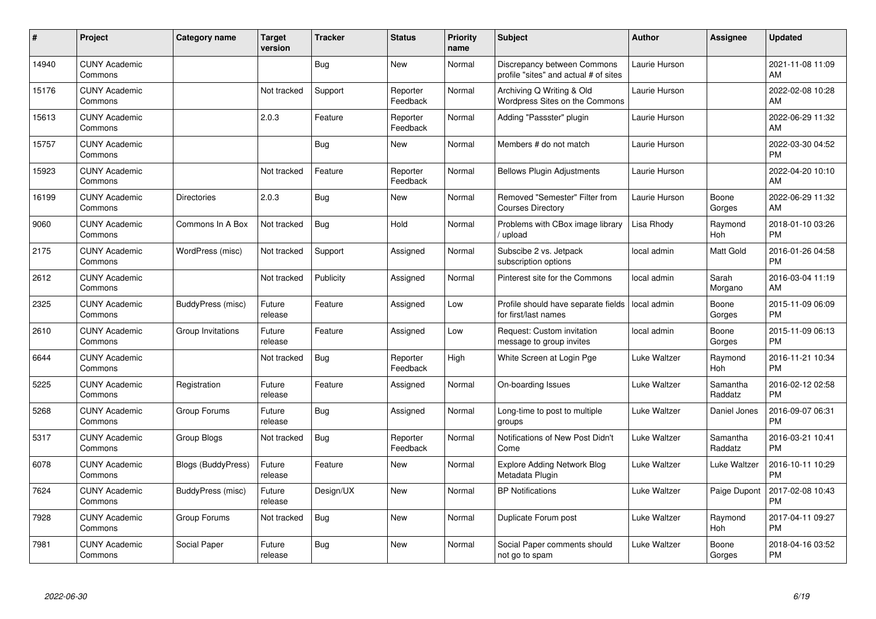| #     | Project                         | <b>Category name</b>      | <b>Target</b><br>version | <b>Tracker</b> | <b>Status</b>        | <b>Priority</b><br>name | <b>Subject</b>                                                       | <b>Author</b> | <b>Assignee</b>     | <b>Updated</b>                |
|-------|---------------------------------|---------------------------|--------------------------|----------------|----------------------|-------------------------|----------------------------------------------------------------------|---------------|---------------------|-------------------------------|
| 14940 | <b>CUNY Academic</b><br>Commons |                           |                          | Bug            | <b>New</b>           | Normal                  | Discrepancy between Commons<br>profile "sites" and actual # of sites | Laurie Hurson |                     | 2021-11-08 11:09<br>AM        |
| 15176 | <b>CUNY Academic</b><br>Commons |                           | Not tracked              | Support        | Reporter<br>Feedback | Normal                  | Archiving Q Writing & Old<br>Wordpress Sites on the Commons          | Laurie Hurson |                     | 2022-02-08 10:28<br>AM        |
| 15613 | <b>CUNY Academic</b><br>Commons |                           | 2.0.3                    | Feature        | Reporter<br>Feedback | Normal                  | Adding "Passster" plugin                                             | Laurie Hurson |                     | 2022-06-29 11:32<br>AM        |
| 15757 | <b>CUNY Academic</b><br>Commons |                           |                          | Bug            | <b>New</b>           | Normal                  | Members # do not match                                               | Laurie Hurson |                     | 2022-03-30 04:52<br><b>PM</b> |
| 15923 | <b>CUNY Academic</b><br>Commons |                           | Not tracked              | Feature        | Reporter<br>Feedback | Normal                  | <b>Bellows Plugin Adjustments</b>                                    | Laurie Hurson |                     | 2022-04-20 10:10<br>AM        |
| 16199 | <b>CUNY Academic</b><br>Commons | <b>Directories</b>        | 2.0.3                    | Bug            | <b>New</b>           | Normal                  | Removed "Semester" Filter from<br><b>Courses Directory</b>           | Laurie Hurson | Boone<br>Gorges     | 2022-06-29 11:32<br>AM        |
| 9060  | <b>CUNY Academic</b><br>Commons | Commons In A Box          | Not tracked              | <b>Bug</b>     | Hold                 | Normal                  | Problems with CBox image library<br>upload                           | Lisa Rhody    | Raymond<br>Hoh      | 2018-01-10 03:26<br><b>PM</b> |
| 2175  | <b>CUNY Academic</b><br>Commons | WordPress (misc)          | Not tracked              | Support        | Assigned             | Normal                  | Subscibe 2 vs. Jetpack<br>subscription options                       | local admin   | Matt Gold           | 2016-01-26 04:58<br><b>PM</b> |
| 2612  | <b>CUNY Academic</b><br>Commons |                           | Not tracked              | Publicity      | Assigned             | Normal                  | Pinterest site for the Commons                                       | local admin   | Sarah<br>Morgano    | 2016-03-04 11:19<br>AM        |
| 2325  | <b>CUNY Academic</b><br>Commons | BuddyPress (misc)         | Future<br>release        | Feature        | Assigned             | Low                     | Profile should have separate fields<br>for first/last names          | local admin   | Boone<br>Gorges     | 2015-11-09 06:09<br><b>PM</b> |
| 2610  | <b>CUNY Academic</b><br>Commons | Group Invitations         | Future<br>release        | Feature        | Assigned             | Low                     | Request: Custom invitation<br>message to group invites               | local admin   | Boone<br>Gorges     | 2015-11-09 06:13<br><b>PM</b> |
| 6644  | <b>CUNY Academic</b><br>Commons |                           | Not tracked              | <b>Bug</b>     | Reporter<br>Feedback | High                    | White Screen at Login Pge                                            | Luke Waltzer  | Raymond<br>Hoh      | 2016-11-21 10:34<br><b>PM</b> |
| 5225  | <b>CUNY Academic</b><br>Commons | Registration              | Future<br>release        | Feature        | Assigned             | Normal                  | On-boarding Issues                                                   | Luke Waltzer  | Samantha<br>Raddatz | 2016-02-12 02:58<br><b>PM</b> |
| 5268  | <b>CUNY Academic</b><br>Commons | Group Forums              | Future<br>release        | Bug            | Assigned             | Normal                  | Long-time to post to multiple<br>groups                              | Luke Waltzer  | Daniel Jones        | 2016-09-07 06:31<br><b>PM</b> |
| 5317  | <b>CUNY Academic</b><br>Commons | Group Blogs               | Not tracked              | <b>Bug</b>     | Reporter<br>Feedback | Normal                  | Notifications of New Post Didn't<br>Come                             | Luke Waltzer  | Samantha<br>Raddatz | 2016-03-21 10:41<br><b>PM</b> |
| 6078  | <b>CUNY Academic</b><br>Commons | <b>Blogs (BuddyPress)</b> | Future<br>release        | Feature        | <b>New</b>           | Normal                  | <b>Explore Adding Network Blog</b><br>Metadata Plugin                | Luke Waltzer  | Luke Waltzer        | 2016-10-11 10:29<br><b>PM</b> |
| 7624  | <b>CUNY Academic</b><br>Commons | BuddyPress (misc)         | Future<br>release        | Design/UX      | New                  | Normal                  | <b>BP</b> Notifications                                              | Luke Waltzer  | Paige Dupont        | 2017-02-08 10:43<br><b>PM</b> |
| 7928  | <b>CUNY Academic</b><br>Commons | Group Forums              | Not tracked              | Bug            | <b>New</b>           | Normal                  | Duplicate Forum post                                                 | Luke Waltzer  | Raymond<br>Hoh      | 2017-04-11 09:27<br><b>PM</b> |
| 7981  | <b>CUNY Academic</b><br>Commons | Social Paper              | Future<br>release        | Bug            | <b>New</b>           | Normal                  | Social Paper comments should<br>not go to spam                       | Luke Waltzer  | Boone<br>Gorges     | 2018-04-16 03:52<br><b>PM</b> |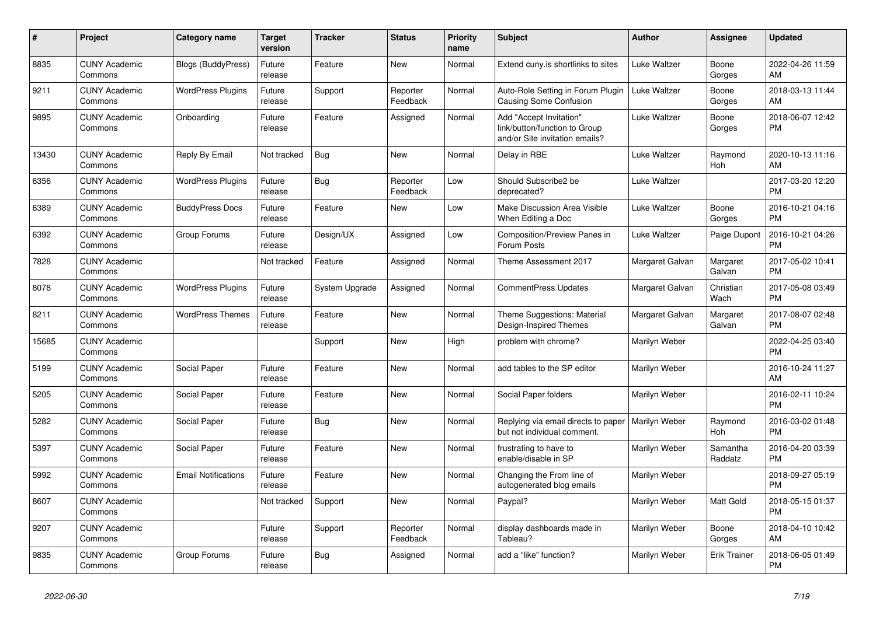| #     | Project                         | <b>Category name</b>       | <b>Target</b><br>version | <b>Tracker</b> | <b>Status</b>        | <b>Priority</b><br>name | <b>Subject</b>                                                                             | <b>Author</b>   | <b>Assignee</b>     | <b>Updated</b>                |
|-------|---------------------------------|----------------------------|--------------------------|----------------|----------------------|-------------------------|--------------------------------------------------------------------------------------------|-----------------|---------------------|-------------------------------|
| 8835  | <b>CUNY Academic</b><br>Commons | <b>Blogs (BuddyPress)</b>  | Future<br>release        | Feature        | New                  | Normal                  | Extend cuny is shortlinks to sites                                                         | Luke Waltzer    | Boone<br>Gorges     | 2022-04-26 11:59<br>AM        |
| 9211  | <b>CUNY Academic</b><br>Commons | <b>WordPress Plugins</b>   | Future<br>release        | Support        | Reporter<br>Feedback | Normal                  | Auto-Role Setting in Forum Plugin<br><b>Causing Some Confusion</b>                         | Luke Waltzer    | Boone<br>Gorges     | 2018-03-13 11:44<br>AM        |
| 9895  | <b>CUNY Academic</b><br>Commons | Onboarding                 | Future<br>release        | Feature        | Assigned             | Normal                  | Add "Accept Invitation"<br>link/button/function to Group<br>and/or Site invitation emails? | Luke Waltzer    | Boone<br>Gorges     | 2018-06-07 12:42<br><b>PM</b> |
| 13430 | <b>CUNY Academic</b><br>Commons | Reply By Email             | Not tracked              | Bug            | New                  | Normal                  | Delay in RBE                                                                               | Luke Waltzer    | Raymond<br>Hoh      | 2020-10-13 11:16<br>AM        |
| 6356  | <b>CUNY Academic</b><br>Commons | <b>WordPress Plugins</b>   | Future<br>release        | Bug            | Reporter<br>Feedback | Low                     | Should Subscribe2 be<br>deprecated?                                                        | Luke Waltzer    |                     | 2017-03-20 12:20<br><b>PM</b> |
| 6389  | <b>CUNY Academic</b><br>Commons | <b>BuddyPress Docs</b>     | Future<br>release        | Feature        | <b>New</b>           | Low                     | Make Discussion Area Visible<br>When Editing a Doc                                         | Luke Waltzer    | Boone<br>Gorges     | 2016-10-21 04:16<br><b>PM</b> |
| 6392  | <b>CUNY Academic</b><br>Commons | Group Forums               | Future<br>release        | Design/UX      | Assigned             | Low                     | Composition/Preview Panes in<br>Forum Posts                                                | Luke Waltzer    | Paige Dupont        | 2016-10-21 04:26<br><b>PM</b> |
| 7828  | <b>CUNY Academic</b><br>Commons |                            | Not tracked              | Feature        | Assigned             | Normal                  | Theme Assessment 2017                                                                      | Margaret Galvan | Margaret<br>Galvan  | 2017-05-02 10:41<br><b>PM</b> |
| 8078  | <b>CUNY Academic</b><br>Commons | <b>WordPress Plugins</b>   | Future<br>release        | System Upgrade | Assigned             | Normal                  | CommentPress Updates                                                                       | Margaret Galvan | Christian<br>Wach   | 2017-05-08 03:49<br><b>PM</b> |
| 8211  | <b>CUNY Academic</b><br>Commons | <b>WordPress Themes</b>    | Future<br>release        | Feature        | New                  | Normal                  | Theme Suggestions: Material<br>Design-Inspired Themes                                      | Margaret Galvan | Margaret<br>Galvan  | 2017-08-07 02:48<br><b>PM</b> |
| 15685 | <b>CUNY Academic</b><br>Commons |                            |                          | Support        | New                  | High                    | problem with chrome?                                                                       | Marilyn Weber   |                     | 2022-04-25 03:40<br><b>PM</b> |
| 5199  | <b>CUNY Academic</b><br>Commons | Social Paper               | Future<br>release        | Feature        | <b>New</b>           | Normal                  | add tables to the SP editor                                                                | Marilyn Weber   |                     | 2016-10-24 11:27<br>AM        |
| 5205  | <b>CUNY Academic</b><br>Commons | Social Paper               | Future<br>release        | Feature        | <b>New</b>           | Normal                  | Social Paper folders                                                                       | Marilyn Weber   |                     | 2016-02-11 10:24<br><b>PM</b> |
| 5282  | <b>CUNY Academic</b><br>Commons | Social Paper               | Future<br>release        | Bug            | <b>New</b>           | Normal                  | Replying via email directs to paper<br>but not individual comment.                         | Marilyn Weber   | Raymond<br>Hoh      | 2016-03-02 01:48<br><b>PM</b> |
| 5397  | <b>CUNY Academic</b><br>Commons | Social Paper               | Future<br>release        | Feature        | <b>New</b>           | Normal                  | frustrating to have to<br>enable/disable in SP                                             | Marilyn Weber   | Samantha<br>Raddatz | 2016-04-20 03:39<br><b>PM</b> |
| 5992  | <b>CUNY Academic</b><br>Commons | <b>Email Notifications</b> | Future<br>release        | Feature        | <b>New</b>           | Normal                  | Changing the From line of<br>autogenerated blog emails                                     | Marilyn Weber   |                     | 2018-09-27 05:19<br><b>PM</b> |
| 8607  | <b>CUNY Academic</b><br>Commons |                            | Not tracked              | Support        | New                  | Normal                  | Paypal?                                                                                    | Marilyn Weber   | Matt Gold           | 2018-05-15 01:37<br><b>PM</b> |
| 9207  | <b>CUNY Academic</b><br>Commons |                            | Future<br>release        | Support        | Reporter<br>Feedback | Normal                  | display dashboards made in<br>Tableau?                                                     | Marilyn Weber   | Boone<br>Gorges     | 2018-04-10 10:42<br>AM        |
| 9835  | <b>CUNY Academic</b><br>Commons | Group Forums               | Future<br>release        | Bug            | Assigned             | Normal                  | add a "like" function?                                                                     | Marilyn Weber   | <b>Erik Trainer</b> | 2018-06-05 01:49<br><b>PM</b> |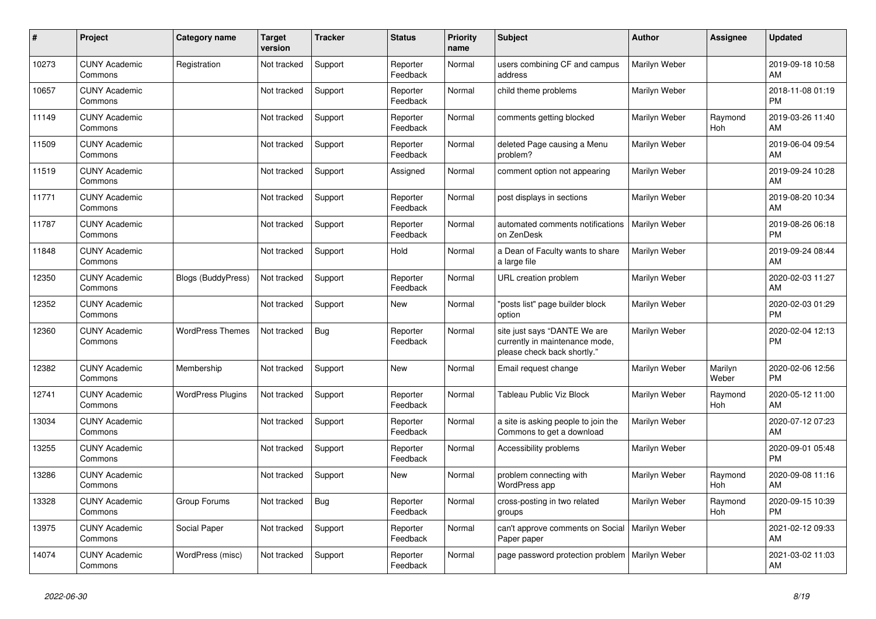| #     | <b>Project</b>                  | <b>Category name</b>      | <b>Target</b><br>version | <b>Tracker</b> | <b>Status</b>        | <b>Priority</b><br>name | <b>Subject</b>                                                                                | <b>Author</b> | Assignee         | <b>Updated</b>                |
|-------|---------------------------------|---------------------------|--------------------------|----------------|----------------------|-------------------------|-----------------------------------------------------------------------------------------------|---------------|------------------|-------------------------------|
| 10273 | <b>CUNY Academic</b><br>Commons | Registration              | Not tracked              | Support        | Reporter<br>Feedback | Normal                  | users combining CF and campus<br>address                                                      | Marilyn Weber |                  | 2019-09-18 10:58<br>AM        |
| 10657 | <b>CUNY Academic</b><br>Commons |                           | Not tracked              | Support        | Reporter<br>Feedback | Normal                  | child theme problems                                                                          | Marilyn Weber |                  | 2018-11-08 01:19<br><b>PM</b> |
| 11149 | <b>CUNY Academic</b><br>Commons |                           | Not tracked              | Support        | Reporter<br>Feedback | Normal                  | comments getting blocked                                                                      | Marilyn Weber | Raymond<br>Hoh   | 2019-03-26 11:40<br>AM        |
| 11509 | <b>CUNY Academic</b><br>Commons |                           | Not tracked              | Support        | Reporter<br>Feedback | Normal                  | deleted Page causing a Menu<br>problem?                                                       | Marilyn Weber |                  | 2019-06-04 09:54<br><b>AM</b> |
| 11519 | <b>CUNY Academic</b><br>Commons |                           | Not tracked              | Support        | Assigned             | Normal                  | comment option not appearing                                                                  | Marilyn Weber |                  | 2019-09-24 10:28<br>AM        |
| 11771 | <b>CUNY Academic</b><br>Commons |                           | Not tracked              | Support        | Reporter<br>Feedback | Normal                  | post displays in sections                                                                     | Marilyn Weber |                  | 2019-08-20 10:34<br>AM        |
| 11787 | <b>CUNY Academic</b><br>Commons |                           | Not tracked              | Support        | Reporter<br>Feedback | Normal                  | automated comments notifications<br>on ZenDesk                                                | Marilyn Weber |                  | 2019-08-26 06:18<br><b>PM</b> |
| 11848 | <b>CUNY Academic</b><br>Commons |                           | Not tracked              | Support        | Hold                 | Normal                  | a Dean of Faculty wants to share<br>a large file                                              | Marilyn Weber |                  | 2019-09-24 08:44<br>AM.       |
| 12350 | <b>CUNY Academic</b><br>Commons | <b>Blogs (BuddyPress)</b> | Not tracked              | Support        | Reporter<br>Feedback | Normal                  | URL creation problem                                                                          | Marilyn Weber |                  | 2020-02-03 11:27<br>AM        |
| 12352 | <b>CUNY Academic</b><br>Commons |                           | Not tracked              | Support        | New                  | Normal                  | "posts list" page builder block<br>option                                                     | Marilyn Weber |                  | 2020-02-03 01:29<br><b>PM</b> |
| 12360 | <b>CUNY Academic</b><br>Commons | <b>WordPress Themes</b>   | Not tracked              | Bug            | Reporter<br>Feedback | Normal                  | site just says "DANTE We are<br>currently in maintenance mode,<br>please check back shortly." | Marilyn Weber |                  | 2020-02-04 12:13<br><b>PM</b> |
| 12382 | <b>CUNY Academic</b><br>Commons | Membership                | Not tracked              | Support        | New                  | Normal                  | Email request change                                                                          | Marilyn Weber | Marilyn<br>Weber | 2020-02-06 12:56<br><b>PM</b> |
| 12741 | <b>CUNY Academic</b><br>Commons | <b>WordPress Plugins</b>  | Not tracked              | Support        | Reporter<br>Feedback | Normal                  | Tableau Public Viz Block                                                                      | Marilyn Weber | Raymond<br>Hoh   | 2020-05-12 11:00<br>AM        |
| 13034 | <b>CUNY Academic</b><br>Commons |                           | Not tracked              | Support        | Reporter<br>Feedback | Normal                  | a site is asking people to join the<br>Commons to get a download                              | Marilyn Weber |                  | 2020-07-12 07:23<br>AM        |
| 13255 | <b>CUNY Academic</b><br>Commons |                           | Not tracked              | Support        | Reporter<br>Feedback | Normal                  | Accessibility problems                                                                        | Marilyn Weber |                  | 2020-09-01 05:48<br><b>PM</b> |
| 13286 | <b>CUNY Academic</b><br>Commons |                           | Not tracked              | Support        | <b>New</b>           | Normal                  | problem connecting with<br><b>WordPress app</b>                                               | Marilyn Weber | Raymond<br>Hoh   | 2020-09-08 11:16<br>AM        |
| 13328 | <b>CUNY Academic</b><br>Commons | Group Forums              | Not tracked              | Bug            | Reporter<br>Feedback | Normal                  | cross-posting in two related<br>groups                                                        | Marilyn Weber | Raymond<br>Hoh   | 2020-09-15 10:39<br><b>PM</b> |
| 13975 | <b>CUNY Academic</b><br>Commons | Social Paper              | Not tracked              | Support        | Reporter<br>Feedback | Normal                  | can't approve comments on Social<br>Paper paper                                               | Marilyn Weber |                  | 2021-02-12 09:33<br>AM        |
| 14074 | <b>CUNY Academic</b><br>Commons | WordPress (misc)          | Not tracked              | Support        | Reporter<br>Feedback | Normal                  | page password protection problem                                                              | Marilyn Weber |                  | 2021-03-02 11:03<br>AM        |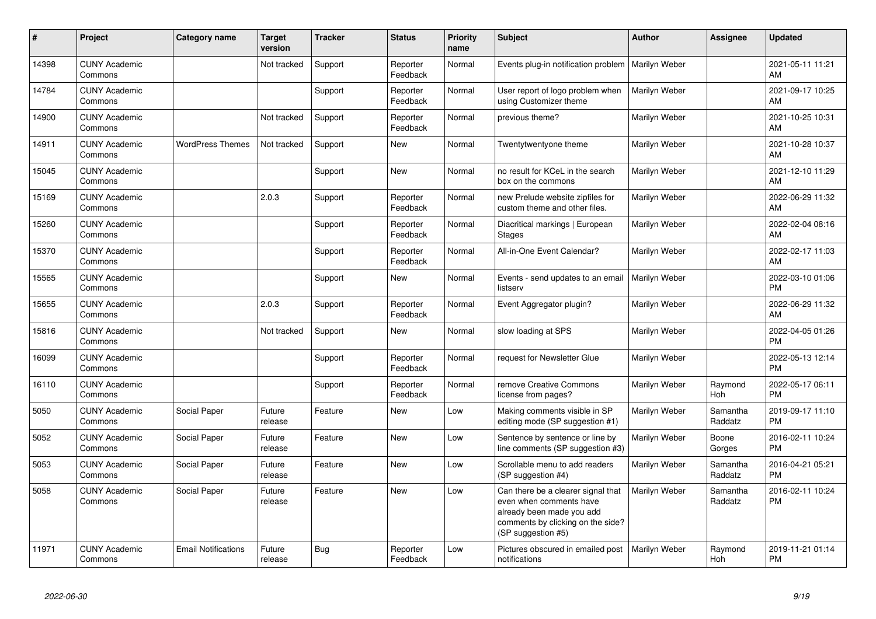| #     | Project                         | <b>Category name</b>       | <b>Target</b><br>version | <b>Tracker</b> | <b>Status</b>        | <b>Priority</b><br>name | <b>Subject</b>                                                                                                                                        | <b>Author</b> | Assignee            | <b>Updated</b>                |
|-------|---------------------------------|----------------------------|--------------------------|----------------|----------------------|-------------------------|-------------------------------------------------------------------------------------------------------------------------------------------------------|---------------|---------------------|-------------------------------|
| 14398 | <b>CUNY Academic</b><br>Commons |                            | Not tracked              | Support        | Reporter<br>Feedback | Normal                  | Events plug-in notification problem                                                                                                                   | Marilyn Weber |                     | 2021-05-11 11:21<br>AM        |
| 14784 | <b>CUNY Academic</b><br>Commons |                            |                          | Support        | Reporter<br>Feedback | Normal                  | User report of logo problem when<br>using Customizer theme                                                                                            | Marilyn Weber |                     | 2021-09-17 10:25<br>AM        |
| 14900 | <b>CUNY Academic</b><br>Commons |                            | Not tracked              | Support        | Reporter<br>Feedback | Normal                  | previous theme?                                                                                                                                       | Marilyn Weber |                     | 2021-10-25 10:31<br>AM        |
| 14911 | <b>CUNY Academic</b><br>Commons | <b>WordPress Themes</b>    | Not tracked              | Support        | New                  | Normal                  | Twentytwentyone theme                                                                                                                                 | Marilyn Weber |                     | 2021-10-28 10:37<br>AM        |
| 15045 | <b>CUNY Academic</b><br>Commons |                            |                          | Support        | New                  | Normal                  | no result for KCeL in the search<br>box on the commons                                                                                                | Marilyn Weber |                     | 2021-12-10 11:29<br>AM        |
| 15169 | <b>CUNY Academic</b><br>Commons |                            | 2.0.3                    | Support        | Reporter<br>Feedback | Normal                  | new Prelude website zipfiles for<br>custom theme and other files.                                                                                     | Marilyn Weber |                     | 2022-06-29 11:32<br>AM        |
| 15260 | <b>CUNY Academic</b><br>Commons |                            |                          | Support        | Reporter<br>Feedback | Normal                  | Diacritical markings   European<br><b>Stages</b>                                                                                                      | Marilyn Weber |                     | 2022-02-04 08:16<br>AM        |
| 15370 | <b>CUNY Academic</b><br>Commons |                            |                          | Support        | Reporter<br>Feedback | Normal                  | All-in-One Event Calendar?                                                                                                                            | Marilyn Weber |                     | 2022-02-17 11:03<br>AM        |
| 15565 | <b>CUNY Academic</b><br>Commons |                            |                          | Support        | New                  | Normal                  | Events - send updates to an email<br>listserv                                                                                                         | Marilyn Weber |                     | 2022-03-10 01:06<br><b>PM</b> |
| 15655 | <b>CUNY Academic</b><br>Commons |                            | 2.0.3                    | Support        | Reporter<br>Feedback | Normal                  | Event Aggregator plugin?                                                                                                                              | Marilyn Weber |                     | 2022-06-29 11:32<br>AM        |
| 15816 | <b>CUNY Academic</b><br>Commons |                            | Not tracked              | Support        | New                  | Normal                  | slow loading at SPS                                                                                                                                   | Marilyn Weber |                     | 2022-04-05 01:26<br><b>PM</b> |
| 16099 | <b>CUNY Academic</b><br>Commons |                            |                          | Support        | Reporter<br>Feedback | Normal                  | request for Newsletter Glue                                                                                                                           | Marilyn Weber |                     | 2022-05-13 12:14<br><b>PM</b> |
| 16110 | <b>CUNY Academic</b><br>Commons |                            |                          | Support        | Reporter<br>Feedback | Normal                  | remove Creative Commons<br>license from pages?                                                                                                        | Marilyn Weber | Raymond<br>Hoh      | 2022-05-17 06:11<br><b>PM</b> |
| 5050  | <b>CUNY Academic</b><br>Commons | Social Paper               | Future<br>release        | Feature        | New                  | Low                     | Making comments visible in SP<br>editing mode (SP suggestion #1)                                                                                      | Marilyn Weber | Samantha<br>Raddatz | 2019-09-17 11:10<br><b>PM</b> |
| 5052  | <b>CUNY Academic</b><br>Commons | Social Paper               | Future<br>release        | Feature        | <b>New</b>           | Low                     | Sentence by sentence or line by<br>line comments (SP suggestion #3)                                                                                   | Marilyn Weber | Boone<br>Gorges     | 2016-02-11 10:24<br><b>PM</b> |
| 5053  | <b>CUNY Academic</b><br>Commons | Social Paper               | Future<br>release        | Feature        | <b>New</b>           | Low                     | Scrollable menu to add readers<br>(SP suggestion #4)                                                                                                  | Marilyn Weber | Samantha<br>Raddatz | 2016-04-21 05:21<br><b>PM</b> |
| 5058  | <b>CUNY Academic</b><br>Commons | Social Paper               | Future<br>release        | Feature        | New                  | Low                     | Can there be a clearer signal that<br>even when comments have<br>already been made you add<br>comments by clicking on the side?<br>(SP suggestion #5) | Marilyn Weber | Samantha<br>Raddatz | 2016-02-11 10:24<br><b>PM</b> |
| 11971 | <b>CUNY Academic</b><br>Commons | <b>Email Notifications</b> | Future<br>release        | <b>Bug</b>     | Reporter<br>Feedback | Low                     | Pictures obscured in emailed post<br>notifications                                                                                                    | Marilyn Weber | Raymond<br>Hoh      | 2019-11-21 01:14<br>PM        |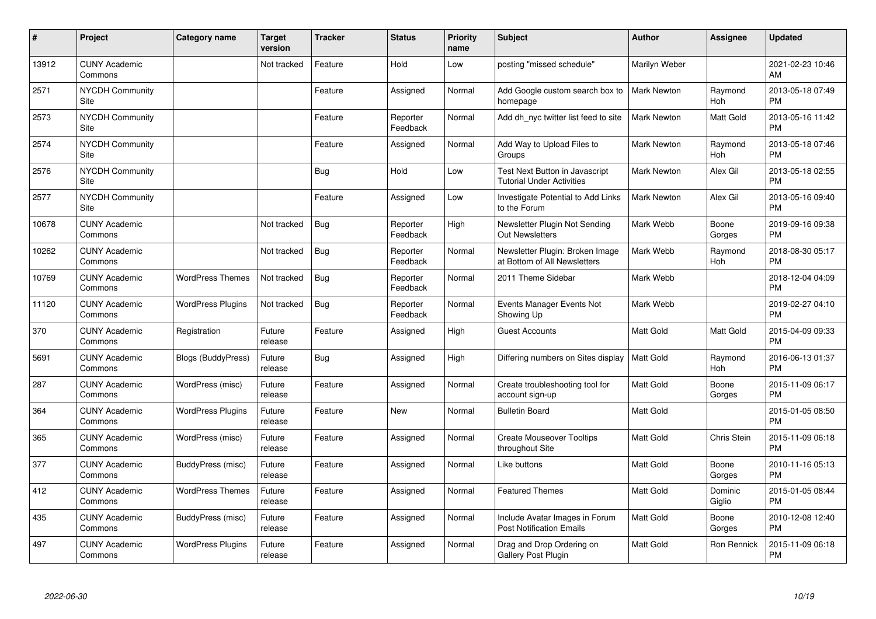| #     | Project                         | <b>Category name</b>      | <b>Target</b><br>version | <b>Tracker</b> | <b>Status</b>        | <b>Priority</b><br>name | <b>Subject</b>                                                     | <b>Author</b>      | <b>Assignee</b>   | <b>Updated</b>                |
|-------|---------------------------------|---------------------------|--------------------------|----------------|----------------------|-------------------------|--------------------------------------------------------------------|--------------------|-------------------|-------------------------------|
| 13912 | <b>CUNY Academic</b><br>Commons |                           | Not tracked              | Feature        | Hold                 | Low                     | posting "missed schedule"                                          | Marilyn Weber      |                   | 2021-02-23 10:46<br>AM        |
| 2571  | NYCDH Community<br>Site         |                           |                          | Feature        | Assigned             | Normal                  | Add Google custom search box to<br>homepage                        | <b>Mark Newton</b> | Raymond<br>Hoh    | 2013-05-18 07:49<br><b>PM</b> |
| 2573  | <b>NYCDH Community</b><br>Site  |                           |                          | Feature        | Reporter<br>Feedback | Normal                  | Add dh nyc twitter list feed to site                               | <b>Mark Newton</b> | Matt Gold         | 2013-05-16 11:42<br><b>PM</b> |
| 2574  | <b>NYCDH Community</b><br>Site  |                           |                          | Feature        | Assigned             | Normal                  | Add Way to Upload Files to<br>Groups                               | <b>Mark Newton</b> | Raymond<br>Hoh    | 2013-05-18 07:46<br><b>PM</b> |
| 2576  | <b>NYCDH Community</b><br>Site  |                           |                          | <b>Bug</b>     | Hold                 | Low                     | Test Next Button in Javascript<br><b>Tutorial Under Activities</b> | <b>Mark Newton</b> | Alex Gil          | 2013-05-18 02:55<br><b>PM</b> |
| 2577  | <b>NYCDH Community</b><br>Site  |                           |                          | Feature        | Assigned             | Low                     | Investigate Potential to Add Links<br>to the Forum                 | <b>Mark Newton</b> | Alex Gil          | 2013-05-16 09:40<br><b>PM</b> |
| 10678 | <b>CUNY Academic</b><br>Commons |                           | Not tracked              | <b>Bug</b>     | Reporter<br>Feedback | High                    | Newsletter Plugin Not Sending<br><b>Out Newsletters</b>            | Mark Webb          | Boone<br>Gorges   | 2019-09-16 09:38<br><b>PM</b> |
| 10262 | <b>CUNY Academic</b><br>Commons |                           | Not tracked              | Bug            | Reporter<br>Feedback | Normal                  | Newsletter Plugin: Broken Image<br>at Bottom of All Newsletters    | Mark Webb          | Raymond<br>Hoh    | 2018-08-30 05:17<br><b>PM</b> |
| 10769 | <b>CUNY Academic</b><br>Commons | <b>WordPress Themes</b>   | Not tracked              | Bug            | Reporter<br>Feedback | Normal                  | 2011 Theme Sidebar                                                 | Mark Webb          |                   | 2018-12-04 04:09<br><b>PM</b> |
| 11120 | <b>CUNY Academic</b><br>Commons | <b>WordPress Plugins</b>  | Not tracked              | Bug            | Reporter<br>Feedback | Normal                  | Events Manager Events Not<br>Showing Up                            | Mark Webb          |                   | 2019-02-27 04:10<br><b>PM</b> |
| 370   | <b>CUNY Academic</b><br>Commons | Registration              | Future<br>release        | Feature        | Assigned             | High                    | <b>Guest Accounts</b>                                              | <b>Matt Gold</b>   | Matt Gold         | 2015-04-09 09:33<br><b>PM</b> |
| 5691  | <b>CUNY Academic</b><br>Commons | <b>Blogs (BuddyPress)</b> | Future<br>release        | Bug            | Assigned             | High                    | Differing numbers on Sites display                                 | <b>Matt Gold</b>   | Raymond<br>Hoh    | 2016-06-13 01:37<br><b>PM</b> |
| 287   | <b>CUNY Academic</b><br>Commons | WordPress (misc)          | Future<br>release        | Feature        | Assigned             | Normal                  | Create troubleshooting tool for<br>account sign-up                 | <b>Matt Gold</b>   | Boone<br>Gorges   | 2015-11-09 06:17<br><b>PM</b> |
| 364   | <b>CUNY Academic</b><br>Commons | <b>WordPress Plugins</b>  | Future<br>release        | Feature        | New                  | Normal                  | <b>Bulletin Board</b>                                              | <b>Matt Gold</b>   |                   | 2015-01-05 08:50<br><b>PM</b> |
| 365   | <b>CUNY Academic</b><br>Commons | WordPress (misc)          | Future<br>release        | Feature        | Assigned             | Normal                  | <b>Create Mouseover Tooltips</b><br>throughout Site                | <b>Matt Gold</b>   | Chris Stein       | 2015-11-09 06:18<br><b>PM</b> |
| 377   | <b>CUNY Academic</b><br>Commons | BuddyPress (misc)         | Future<br>release        | Feature        | Assigned             | Normal                  | Like buttons                                                       | Matt Gold          | Boone<br>Gorges   | 2010-11-16 05:13<br><b>PM</b> |
| 412   | <b>CUNY Academic</b><br>Commons | <b>WordPress Themes</b>   | Future<br>release        | Feature        | Assigned             | Normal                  | <b>Featured Themes</b>                                             | <b>Matt Gold</b>   | Dominic<br>Giglio | 2015-01-05 08:44<br><b>PM</b> |
| 435   | <b>CUNY Academic</b><br>Commons | BuddyPress (misc)         | Future<br>release        | Feature        | Assigned             | Normal                  | Include Avatar Images in Forum<br><b>Post Notification Emails</b>  | Matt Gold          | Boone<br>Gorges   | 2010-12-08 12:40<br><b>PM</b> |
| 497   | <b>CUNY Academic</b><br>Commons | <b>WordPress Plugins</b>  | Future<br>release        | Feature        | Assigned             | Normal                  | Drag and Drop Ordering on<br>Gallery Post Plugin                   | Matt Gold          | Ron Rennick       | 2015-11-09 06:18<br><b>PM</b> |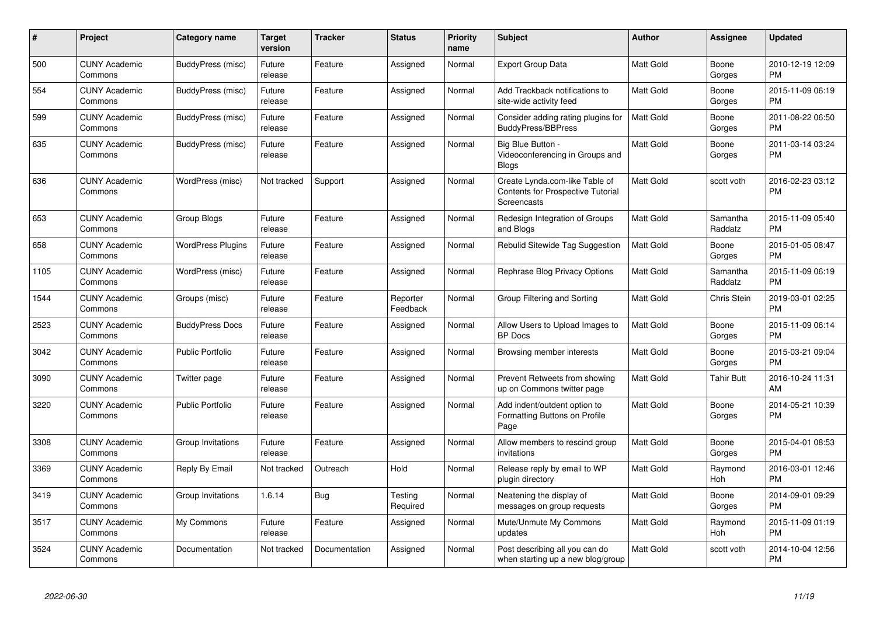| #    | Project                         | <b>Category name</b>     | <b>Target</b><br>version | <b>Tracker</b> | <b>Status</b>        | <b>Priority</b><br>name | <b>Subject</b>                                                                            | <b>Author</b>    | Assignee            | <b>Updated</b>                |
|------|---------------------------------|--------------------------|--------------------------|----------------|----------------------|-------------------------|-------------------------------------------------------------------------------------------|------------------|---------------------|-------------------------------|
| 500  | <b>CUNY Academic</b><br>Commons | BuddyPress (misc)        | Future<br>release        | Feature        | Assigned             | Normal                  | Export Group Data                                                                         | <b>Matt Gold</b> | Boone<br>Gorges     | 2010-12-19 12:09<br><b>PM</b> |
| 554  | <b>CUNY Academic</b><br>Commons | BuddyPress (misc)        | Future<br>release        | Feature        | Assigned             | Normal                  | Add Trackback notifications to<br>site-wide activity feed                                 | <b>Matt Gold</b> | Boone<br>Gorges     | 2015-11-09 06:19<br><b>PM</b> |
| 599  | <b>CUNY Academic</b><br>Commons | BuddyPress (misc)        | Future<br>release        | Feature        | Assigned             | Normal                  | Consider adding rating plugins for<br><b>BuddyPress/BBPress</b>                           | <b>Matt Gold</b> | Boone<br>Gorges     | 2011-08-22 06:50<br><b>PM</b> |
| 635  | <b>CUNY Academic</b><br>Commons | BuddyPress (misc)        | Future<br>release        | Feature        | Assigned             | Normal                  | Big Blue Button -<br>Videoconferencing in Groups and<br><b>Blogs</b>                      | Matt Gold        | Boone<br>Gorges     | 2011-03-14 03:24<br><b>PM</b> |
| 636  | <b>CUNY Academic</b><br>Commons | WordPress (misc)         | Not tracked              | Support        | Assigned             | Normal                  | Create Lynda.com-like Table of<br><b>Contents for Prospective Tutorial</b><br>Screencasts | Matt Gold        | scott voth          | 2016-02-23 03:12<br><b>PM</b> |
| 653  | <b>CUNY Academic</b><br>Commons | Group Blogs              | Future<br>release        | Feature        | Assigned             | Normal                  | Redesign Integration of Groups<br>and Blogs                                               | Matt Gold        | Samantha<br>Raddatz | 2015-11-09 05:40<br><b>PM</b> |
| 658  | <b>CUNY Academic</b><br>Commons | <b>WordPress Plugins</b> | Future<br>release        | Feature        | Assigned             | Normal                  | Rebulid Sitewide Tag Suggestion                                                           | Matt Gold        | Boone<br>Gorges     | 2015-01-05 08:47<br><b>PM</b> |
| 1105 | <b>CUNY Academic</b><br>Commons | WordPress (misc)         | Future<br>release        | Feature        | Assigned             | Normal                  | Rephrase Blog Privacy Options                                                             | Matt Gold        | Samantha<br>Raddatz | 2015-11-09 06:19<br><b>PM</b> |
| 1544 | <b>CUNY Academic</b><br>Commons | Groups (misc)            | Future<br>release        | Feature        | Reporter<br>Feedback | Normal                  | Group Filtering and Sorting                                                               | <b>Matt Gold</b> | <b>Chris Stein</b>  | 2019-03-01 02:25<br><b>PM</b> |
| 2523 | <b>CUNY Academic</b><br>Commons | <b>BuddyPress Docs</b>   | Future<br>release        | Feature        | Assigned             | Normal                  | Allow Users to Upload Images to<br><b>BP</b> Docs                                         | Matt Gold        | Boone<br>Gorges     | 2015-11-09 06:14<br><b>PM</b> |
| 3042 | <b>CUNY Academic</b><br>Commons | <b>Public Portfolio</b>  | Future<br>release        | Feature        | Assigned             | Normal                  | Browsing member interests                                                                 | <b>Matt Gold</b> | Boone<br>Gorges     | 2015-03-21 09:04<br><b>PM</b> |
| 3090 | <b>CUNY Academic</b><br>Commons | Twitter page             | Future<br>release        | Feature        | Assigned             | Normal                  | Prevent Retweets from showing<br>up on Commons twitter page                               | <b>Matt Gold</b> | <b>Tahir Butt</b>   | 2016-10-24 11:31<br>AM        |
| 3220 | <b>CUNY Academic</b><br>Commons | Public Portfolio         | Future<br>release        | Feature        | Assigned             | Normal                  | Add indent/outdent option to<br>Formatting Buttons on Profile<br>Page                     | Matt Gold        | Boone<br>Gorges     | 2014-05-21 10:39<br><b>PM</b> |
| 3308 | <b>CUNY Academic</b><br>Commons | Group Invitations        | Future<br>release        | Feature        | Assigned             | Normal                  | Allow members to rescind group<br>invitations                                             | Matt Gold        | Boone<br>Gorges     | 2015-04-01 08:53<br><b>PM</b> |
| 3369 | <b>CUNY Academic</b><br>Commons | Reply By Email           | Not tracked              | Outreach       | Hold                 | Normal                  | Release reply by email to WP<br>plugin directory                                          | Matt Gold        | Raymond<br>Hoh      | 2016-03-01 12:46<br><b>PM</b> |
| 3419 | <b>CUNY Academic</b><br>Commons | Group Invitations        | 1.6.14                   | Bug            | Testing<br>Required  | Normal                  | Neatening the display of<br>messages on group requests                                    | Matt Gold        | Boone<br>Gorges     | 2014-09-01 09:29<br><b>PM</b> |
| 3517 | <b>CUNY Academic</b><br>Commons | My Commons               | Future<br>release        | Feature        | Assigned             | Normal                  | Mute/Unmute My Commons<br>updates                                                         | <b>Matt Gold</b> | Raymond<br>Hoh      | 2015-11-09 01:19<br><b>PM</b> |
| 3524 | <b>CUNY Academic</b><br>Commons | Documentation            | Not tracked              | Documentation  | Assigned             | Normal                  | Post describing all you can do<br>when starting up a new blog/group                       | <b>Matt Gold</b> | scott voth          | 2014-10-04 12:56<br><b>PM</b> |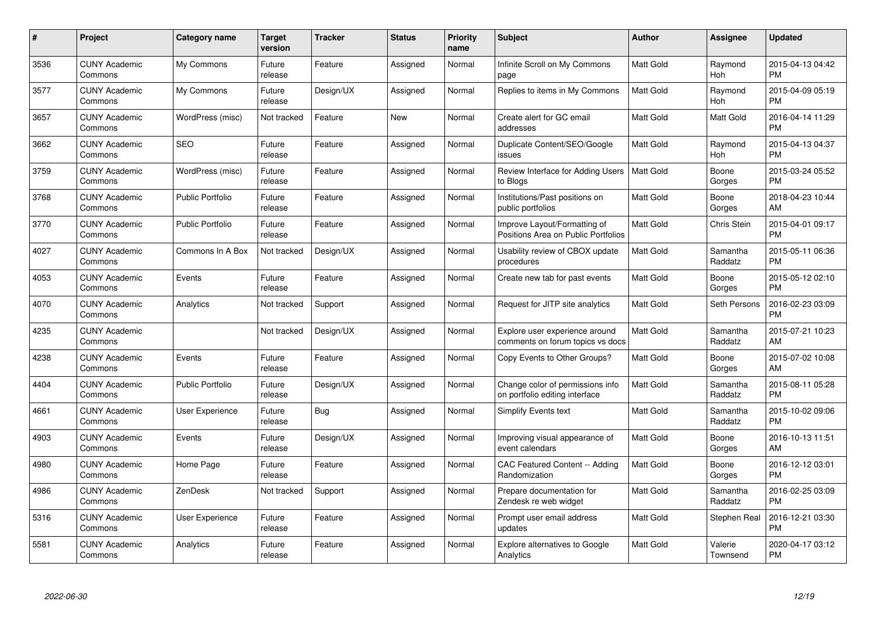| $\#$ | Project                         | <b>Category name</b>    | Target<br>version | <b>Tracker</b> | <b>Status</b> | Priority<br>name | <b>Subject</b>                                                      | <b>Author</b>    | <b>Assignee</b>     | <b>Updated</b>                |
|------|---------------------------------|-------------------------|-------------------|----------------|---------------|------------------|---------------------------------------------------------------------|------------------|---------------------|-------------------------------|
| 3536 | <b>CUNY Academic</b><br>Commons | My Commons              | Future<br>release | Feature        | Assigned      | Normal           | Infinite Scroll on My Commons<br>page                               | <b>Matt Gold</b> | Raymond<br>Hoh      | 2015-04-13 04:42<br><b>PM</b> |
| 3577 | <b>CUNY Academic</b><br>Commons | My Commons              | Future<br>release | Design/UX      | Assigned      | Normal           | Replies to items in My Commons                                      | <b>Matt Gold</b> | Raymond<br>Hoh      | 2015-04-09 05:19<br><b>PM</b> |
| 3657 | <b>CUNY Academic</b><br>Commons | WordPress (misc)        | Not tracked       | Feature        | <b>New</b>    | Normal           | Create alert for GC email<br>addresses                              | Matt Gold        | Matt Gold           | 2016-04-14 11:29<br><b>PM</b> |
| 3662 | <b>CUNY Academic</b><br>Commons | <b>SEO</b>              | Future<br>release | Feature        | Assigned      | Normal           | Duplicate Content/SEO/Google<br>issues                              | Matt Gold        | Raymond<br>Hoh      | 2015-04-13 04:37<br><b>PM</b> |
| 3759 | <b>CUNY Academic</b><br>Commons | WordPress (misc)        | Future<br>release | Feature        | Assigned      | Normal           | Review Interface for Adding Users<br>to Blogs                       | <b>Matt Gold</b> | Boone<br>Gorges     | 2015-03-24 05:52<br><b>PM</b> |
| 3768 | <b>CUNY Academic</b><br>Commons | <b>Public Portfolio</b> | Future<br>release | Feature        | Assigned      | Normal           | Institutions/Past positions on<br>public portfolios                 | <b>Matt Gold</b> | Boone<br>Gorges     | 2018-04-23 10:44<br>AM        |
| 3770 | <b>CUNY Academic</b><br>Commons | <b>Public Portfolio</b> | Future<br>release | Feature        | Assigned      | Normal           | Improve Layout/Formatting of<br>Positions Area on Public Portfolios | <b>Matt Gold</b> | <b>Chris Stein</b>  | 2015-04-01 09:17<br><b>PM</b> |
| 4027 | <b>CUNY Academic</b><br>Commons | Commons In A Box        | Not tracked       | Design/UX      | Assigned      | Normal           | Usability review of CBOX update<br>procedures                       | <b>Matt Gold</b> | Samantha<br>Raddatz | 2015-05-11 06:36<br><b>PM</b> |
| 4053 | <b>CUNY Academic</b><br>Commons | Events                  | Future<br>release | Feature        | Assigned      | Normal           | Create new tab for past events                                      | <b>Matt Gold</b> | Boone<br>Gorges     | 2015-05-12 02:10<br><b>PM</b> |
| 4070 | <b>CUNY Academic</b><br>Commons | Analytics               | Not tracked       | Support        | Assigned      | Normal           | Request for JITP site analytics                                     | <b>Matt Gold</b> | Seth Persons        | 2016-02-23 03:09<br><b>PM</b> |
| 4235 | <b>CUNY Academic</b><br>Commons |                         | Not tracked       | Design/UX      | Assigned      | Normal           | Explore user experience around<br>comments on forum topics vs docs  | <b>Matt Gold</b> | Samantha<br>Raddatz | 2015-07-21 10:23<br>AM        |
| 4238 | <b>CUNY Academic</b><br>Commons | Events                  | Future<br>release | Feature        | Assigned      | Normal           | Copy Events to Other Groups?                                        | Matt Gold        | Boone<br>Gorges     | 2015-07-02 10:08<br>AM        |
| 4404 | <b>CUNY Academic</b><br>Commons | <b>Public Portfolio</b> | Future<br>release | Design/UX      | Assigned      | Normal           | Change color of permissions info<br>on portfolio editing interface  | <b>Matt Gold</b> | Samantha<br>Raddatz | 2015-08-11 05:28<br><b>PM</b> |
| 4661 | <b>CUNY Academic</b><br>Commons | User Experience         | Future<br>release | Bug            | Assigned      | Normal           | Simplify Events text                                                | <b>Matt Gold</b> | Samantha<br>Raddatz | 2015-10-02 09:06<br><b>PM</b> |
| 4903 | <b>CUNY Academic</b><br>Commons | Events                  | Future<br>release | Design/UX      | Assigned      | Normal           | Improving visual appearance of<br>event calendars                   | Matt Gold        | Boone<br>Gorges     | 2016-10-13 11:51<br>AM        |
| 4980 | <b>CUNY Academic</b><br>Commons | Home Page               | Future<br>release | Feature        | Assigned      | Normal           | CAC Featured Content -- Adding<br>Randomization                     | Matt Gold        | Boone<br>Gorges     | 2016-12-12 03:01<br><b>PM</b> |
| 4986 | <b>CUNY Academic</b><br>Commons | ZenDesk                 | Not tracked       | Support        | Assigned      | Normal           | Prepare documentation for<br>Zendesk re web widget                  | <b>Matt Gold</b> | Samantha<br>Raddatz | 2016-02-25 03:09<br><b>PM</b> |
| 5316 | <b>CUNY Academic</b><br>Commons | User Experience         | Future<br>release | Feature        | Assigned      | Normal           | Prompt user email address<br>updates                                | Matt Gold        | Stephen Real        | 2016-12-21 03:30<br><b>PM</b> |
| 5581 | CUNY Academic<br>Commons        | Analytics               | Future<br>release | Feature        | Assigned      | Normal           | Explore alternatives to Google<br>Analytics                         | <b>Matt Gold</b> | Valerie<br>Townsend | 2020-04-17 03:12<br><b>PM</b> |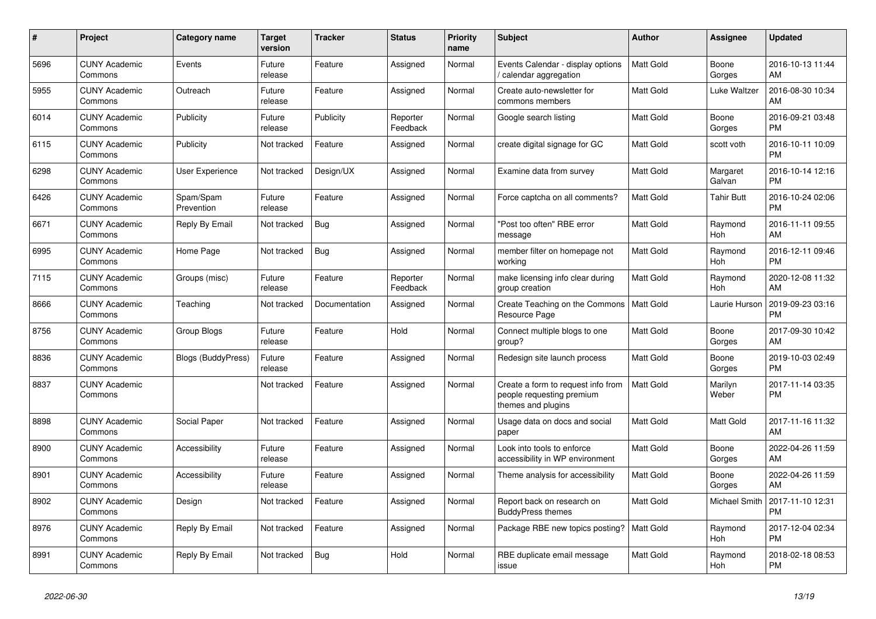| #    | Project                         | <b>Category name</b>      | <b>Target</b><br>version | <b>Tracker</b> | <b>Status</b>        | <b>Priority</b><br>name | <b>Subject</b>                                                                        | <b>Author</b>    | Assignee           | <b>Updated</b>                |
|------|---------------------------------|---------------------------|--------------------------|----------------|----------------------|-------------------------|---------------------------------------------------------------------------------------|------------------|--------------------|-------------------------------|
| 5696 | <b>CUNY Academic</b><br>Commons | Events                    | Future<br>release        | Feature        | Assigned             | Normal                  | Events Calendar - display options<br>/ calendar aggregation                           | <b>Matt Gold</b> | Boone<br>Gorges    | 2016-10-13 11:44<br>AM        |
| 5955 | <b>CUNY Academic</b><br>Commons | Outreach                  | Future<br>release        | Feature        | Assigned             | Normal                  | Create auto-newsletter for<br>commons members                                         | <b>Matt Gold</b> | Luke Waltzer       | 2016-08-30 10:34<br>AM        |
| 6014 | <b>CUNY Academic</b><br>Commons | Publicity                 | Future<br>release        | Publicity      | Reporter<br>Feedback | Normal                  | Google search listing                                                                 | Matt Gold        | Boone<br>Gorges    | 2016-09-21 03:48<br><b>PM</b> |
| 6115 | <b>CUNY Academic</b><br>Commons | Publicity                 | Not tracked              | Feature        | Assigned             | Normal                  | create digital signage for GC                                                         | <b>Matt Gold</b> | scott voth         | 2016-10-11 10:09<br><b>PM</b> |
| 6298 | <b>CUNY Academic</b><br>Commons | <b>User Experience</b>    | Not tracked              | Design/UX      | Assigned             | Normal                  | Examine data from survey                                                              | <b>Matt Gold</b> | Margaret<br>Galvan | 2016-10-14 12:16<br><b>PM</b> |
| 6426 | <b>CUNY Academic</b><br>Commons | Spam/Spam<br>Prevention   | Future<br>release        | Feature        | Assigned             | Normal                  | Force captcha on all comments?                                                        | Matt Gold        | Tahir Butt         | 2016-10-24 02:06<br><b>PM</b> |
| 6671 | <b>CUNY Academic</b><br>Commons | Reply By Email            | Not tracked              | Bug            | Assigned             | Normal                  | "Post too often" RBE error<br>message                                                 | <b>Matt Gold</b> | Raymond<br>Hoh     | 2016-11-11 09:55<br>AM        |
| 6995 | <b>CUNY Academic</b><br>Commons | Home Page                 | Not tracked              | Bug            | Assigned             | Normal                  | member filter on homepage not<br>working                                              | <b>Matt Gold</b> | Raymond<br>Hoh     | 2016-12-11 09:46<br><b>PM</b> |
| 7115 | <b>CUNY Academic</b><br>Commons | Groups (misc)             | Future<br>release        | Feature        | Reporter<br>Feedback | Normal                  | make licensing info clear during<br>group creation                                    | Matt Gold        | Raymond<br>Hoh     | 2020-12-08 11:32<br>AM        |
| 8666 | <b>CUNY Academic</b><br>Commons | Teaching                  | Not tracked              | Documentation  | Assigned             | Normal                  | Create Teaching on the Commons<br>Resource Page                                       | <b>Matt Gold</b> | Laurie Hurson      | 2019-09-23 03:16<br><b>PM</b> |
| 8756 | <b>CUNY Academic</b><br>Commons | Group Blogs               | Future<br>release        | Feature        | Hold                 | Normal                  | Connect multiple blogs to one<br>group?                                               | <b>Matt Gold</b> | Boone<br>Gorges    | 2017-09-30 10:42<br>AM        |
| 8836 | <b>CUNY Academic</b><br>Commons | <b>Blogs (BuddyPress)</b> | Future<br>release        | Feature        | Assigned             | Normal                  | Redesign site launch process                                                          | Matt Gold        | Boone<br>Gorges    | 2019-10-03 02:49<br><b>PM</b> |
| 8837 | <b>CUNY Academic</b><br>Commons |                           | Not tracked              | Feature        | Assigned             | Normal                  | Create a form to request info from<br>people requesting premium<br>themes and plugins | <b>Matt Gold</b> | Marilyn<br>Weber   | 2017-11-14 03:35<br><b>PM</b> |
| 8898 | <b>CUNY Academic</b><br>Commons | Social Paper              | Not tracked              | Feature        | Assigned             | Normal                  | Usage data on docs and social<br>paper                                                | Matt Gold        | Matt Gold          | 2017-11-16 11:32<br>AM        |
| 8900 | <b>CUNY Academic</b><br>Commons | Accessibility             | Future<br>release        | Feature        | Assigned             | Normal                  | Look into tools to enforce<br>accessibility in WP environment                         | Matt Gold        | Boone<br>Gorges    | 2022-04-26 11:59<br>AM        |
| 8901 | <b>CUNY Academic</b><br>Commons | Accessibility             | Future<br>release        | Feature        | Assigned             | Normal                  | Theme analysis for accessibility                                                      | <b>Matt Gold</b> | Boone<br>Gorges    | 2022-04-26 11:59<br>AM        |
| 8902 | <b>CUNY Academic</b><br>Commons | Design                    | Not tracked              | Feature        | Assigned             | Normal                  | Report back on research on<br><b>BuddyPress themes</b>                                | <b>Matt Gold</b> | Michael Smith      | 2017-11-10 12:31<br><b>PM</b> |
| 8976 | <b>CUNY Academic</b><br>Commons | Reply By Email            | Not tracked              | Feature        | Assigned             | Normal                  | Package RBE new topics posting?                                                       | Matt Gold        | Raymond<br>Hoh     | 2017-12-04 02:34<br><b>PM</b> |
| 8991 | <b>CUNY Academic</b><br>Commons | Reply By Email            | Not tracked              | Bug            | Hold                 | Normal                  | RBE duplicate email message<br>issue                                                  | <b>Matt Gold</b> | Raymond<br>Hoh     | 2018-02-18 08:53<br><b>PM</b> |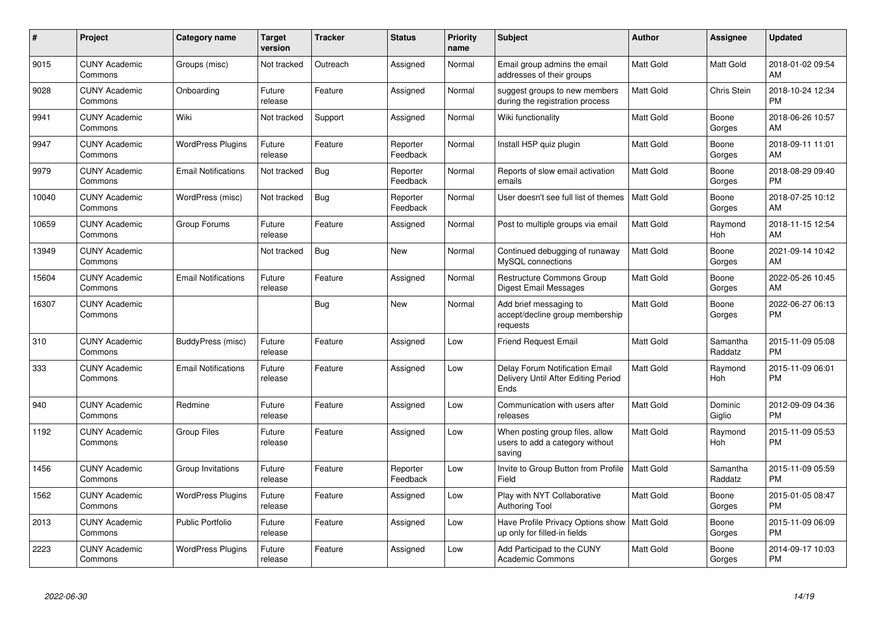| $\#$  | Project                         | <b>Category name</b>       | <b>Target</b><br>version | <b>Tracker</b> | <b>Status</b>        | <b>Priority</b><br>name | <b>Subject</b>                                                                | <b>Author</b>    | Assignee            | <b>Updated</b>                |
|-------|---------------------------------|----------------------------|--------------------------|----------------|----------------------|-------------------------|-------------------------------------------------------------------------------|------------------|---------------------|-------------------------------|
| 9015  | <b>CUNY Academic</b><br>Commons | Groups (misc)              | Not tracked              | Outreach       | Assigned             | Normal                  | Email group admins the email<br>addresses of their groups                     | <b>Matt Gold</b> | Matt Gold           | 2018-01-02 09:54<br>AM        |
| 9028  | <b>CUNY Academic</b><br>Commons | Onboarding                 | Future<br>release        | Feature        | Assigned             | Normal                  | suggest groups to new members<br>during the registration process              | <b>Matt Gold</b> | Chris Stein         | 2018-10-24 12:34<br><b>PM</b> |
| 9941  | <b>CUNY Academic</b><br>Commons | Wiki                       | Not tracked              | Support        | Assigned             | Normal                  | Wiki functionality                                                            | Matt Gold        | Boone<br>Gorges     | 2018-06-26 10:57<br>AM        |
| 9947  | <b>CUNY Academic</b><br>Commons | <b>WordPress Plugins</b>   | Future<br>release        | Feature        | Reporter<br>Feedback | Normal                  | Install H5P quiz plugin                                                       | <b>Matt Gold</b> | Boone<br>Gorges     | 2018-09-11 11:01<br>AM        |
| 9979  | <b>CUNY Academic</b><br>Commons | <b>Email Notifications</b> | Not tracked              | Bug            | Reporter<br>Feedback | Normal                  | Reports of slow email activation<br>emails                                    | <b>Matt Gold</b> | Boone<br>Gorges     | 2018-08-29 09:40<br><b>PM</b> |
| 10040 | <b>CUNY Academic</b><br>Commons | WordPress (misc)           | Not tracked              | Bug            | Reporter<br>Feedback | Normal                  | User doesn't see full list of themes                                          | <b>Matt Gold</b> | Boone<br>Gorges     | 2018-07-25 10:12<br>AM        |
| 10659 | <b>CUNY Academic</b><br>Commons | Group Forums               | Future<br>release        | Feature        | Assigned             | Normal                  | Post to multiple groups via email                                             | <b>Matt Gold</b> | Raymond<br>Hoh      | 2018-11-15 12:54<br>AM        |
| 13949 | <b>CUNY Academic</b><br>Commons |                            | Not tracked              | <b>Bug</b>     | <b>New</b>           | Normal                  | Continued debugging of runaway<br>MySQL connections                           | <b>Matt Gold</b> | Boone<br>Gorges     | 2021-09-14 10:42<br>AM        |
| 15604 | <b>CUNY Academic</b><br>Commons | <b>Email Notifications</b> | Future<br>release        | Feature        | Assigned             | Normal                  | Restructure Commons Group<br><b>Digest Email Messages</b>                     | <b>Matt Gold</b> | Boone<br>Gorges     | 2022-05-26 10:45<br>AM        |
| 16307 | <b>CUNY Academic</b><br>Commons |                            |                          | Bug            | New                  | Normal                  | Add brief messaging to<br>accept/decline group membership<br>requests         | Matt Gold        | Boone<br>Gorges     | 2022-06-27 06:13<br><b>PM</b> |
| 310   | <b>CUNY Academic</b><br>Commons | BuddyPress (misc)          | Future<br>release        | Feature        | Assigned             | Low                     | <b>Friend Request Email</b>                                                   | <b>Matt Gold</b> | Samantha<br>Raddatz | 2015-11-09 05:08<br><b>PM</b> |
| 333   | <b>CUNY Academic</b><br>Commons | <b>Email Notifications</b> | Future<br>release        | Feature        | Assigned             | Low                     | Delay Forum Notification Email<br>Delivery Until After Editing Period<br>Ends | <b>Matt Gold</b> | Raymond<br>Hoh      | 2015-11-09 06:01<br><b>PM</b> |
| 940   | <b>CUNY Academic</b><br>Commons | Redmine                    | Future<br>release        | Feature        | Assigned             | Low                     | Communication with users after<br>releases                                    | <b>Matt Gold</b> | Dominic<br>Giglio   | 2012-09-09 04:36<br><b>PM</b> |
| 1192  | <b>CUNY Academic</b><br>Commons | <b>Group Files</b>         | Future<br>release        | Feature        | Assigned             | Low                     | When posting group files, allow<br>users to add a category without<br>saving  | Matt Gold        | Raymond<br>Hoh      | 2015-11-09 05:53<br><b>PM</b> |
| 1456  | <b>CUNY Academic</b><br>Commons | Group Invitations          | Future<br>release        | Feature        | Reporter<br>Feedback | Low                     | Invite to Group Button from Profile<br>Field                                  | <b>Matt Gold</b> | Samantha<br>Raddatz | 2015-11-09 05:59<br><b>PM</b> |
| 1562  | <b>CUNY Academic</b><br>Commons | <b>WordPress Plugins</b>   | Future<br>release        | Feature        | Assigned             | Low                     | Play with NYT Collaborative<br><b>Authoring Tool</b>                          | <b>Matt Gold</b> | Boone<br>Gorges     | 2015-01-05 08:47<br><b>PM</b> |
| 2013  | <b>CUNY Academic</b><br>Commons | <b>Public Portfolio</b>    | Future<br>release        | Feature        | Assigned             | Low                     | Have Profile Privacy Options show<br>up only for filled-in fields             | Matt Gold        | Boone<br>Gorges     | 2015-11-09 06:09<br><b>PM</b> |
| 2223  | <b>CUNY Academic</b><br>Commons | <b>WordPress Plugins</b>   | Future<br>release        | Feature        | Assigned             | Low                     | Add Participad to the CUNY<br><b>Academic Commons</b>                         | Matt Gold        | Boone<br>Gorges     | 2014-09-17 10:03<br><b>PM</b> |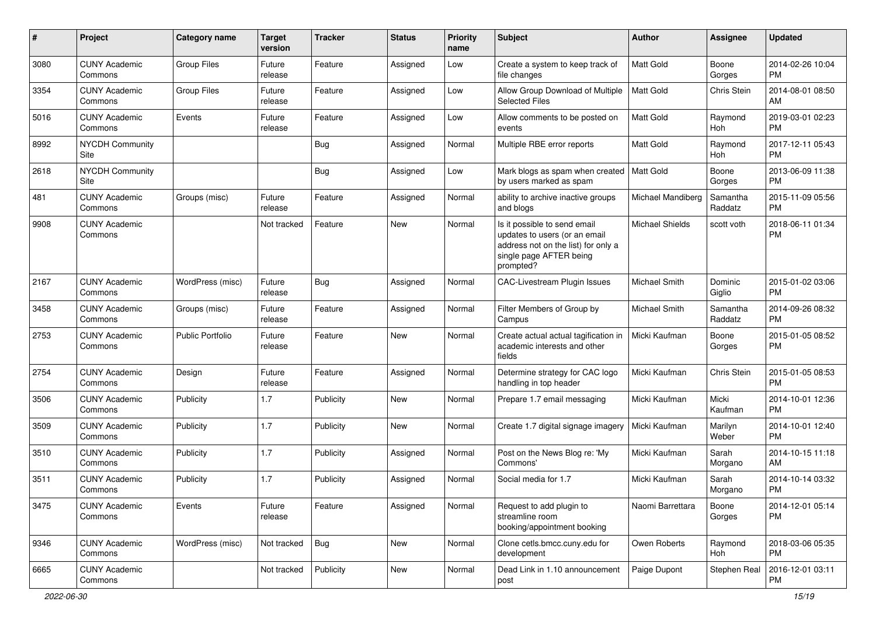| #    | Project                         | Category name           | <b>Target</b><br>version | Tracker    | <b>Status</b> | <b>Priority</b><br>name | Subject                                                                                                                                      | Author               | Assignee            | <b>Updated</b>                |
|------|---------------------------------|-------------------------|--------------------------|------------|---------------|-------------------------|----------------------------------------------------------------------------------------------------------------------------------------------|----------------------|---------------------|-------------------------------|
| 3080 | <b>CUNY Academic</b><br>Commons | <b>Group Files</b>      | Future<br>release        | Feature    | Assigned      | Low                     | Create a system to keep track of<br>file changes                                                                                             | <b>Matt Gold</b>     | Boone<br>Gorges     | 2014-02-26 10:04<br><b>PM</b> |
| 3354 | <b>CUNY Academic</b><br>Commons | <b>Group Files</b>      | Future<br>release        | Feature    | Assigned      | Low                     | Allow Group Download of Multiple<br><b>Selected Files</b>                                                                                    | Matt Gold            | Chris Stein         | 2014-08-01 08:50<br>AM        |
| 5016 | <b>CUNY Academic</b><br>Commons | Events                  | Future<br>release        | Feature    | Assigned      | Low                     | Allow comments to be posted on<br>events                                                                                                     | Matt Gold            | Raymond<br>Hoh      | 2019-03-01 02:23<br><b>PM</b> |
| 8992 | <b>NYCDH Community</b><br>Site  |                         |                          | Bug        | Assigned      | Normal                  | Multiple RBE error reports                                                                                                                   | <b>Matt Gold</b>     | Raymond<br>Hoh      | 2017-12-11 05:43<br><b>PM</b> |
| 2618 | <b>NYCDH Community</b><br>Site  |                         |                          | <b>Bug</b> | Assigned      | Low                     | Mark blogs as spam when created   Matt Gold<br>by users marked as spam                                                                       |                      | Boone<br>Gorges     | 2013-06-09 11:38<br><b>PM</b> |
| 481  | <b>CUNY Academic</b><br>Commons | Groups (misc)           | Future<br>release        | Feature    | Assigned      | Normal                  | ability to archive inactive groups<br>and blogs                                                                                              | Michael Mandiberg    | Samantha<br>Raddatz | 2015-11-09 05:56<br><b>PM</b> |
| 9908 | <b>CUNY Academic</b><br>Commons |                         | Not tracked              | Feature    | New           | Normal                  | Is it possible to send email<br>updates to users (or an email<br>address not on the list) for only a<br>single page AFTER being<br>prompted? | Michael Shields      | scott voth          | 2018-06-11 01:34<br><b>PM</b> |
| 2167 | <b>CUNY Academic</b><br>Commons | WordPress (misc)        | Future<br>release        | Bug        | Assigned      | Normal                  | CAC-Livestream Plugin Issues                                                                                                                 | <b>Michael Smith</b> | Dominic<br>Giglio   | 2015-01-02 03:06<br><b>PM</b> |
| 3458 | <b>CUNY Academic</b><br>Commons | Groups (misc)           | Future<br>release        | Feature    | Assigned      | Normal                  | Filter Members of Group by<br>Campus                                                                                                         | Michael Smith        | Samantha<br>Raddatz | 2014-09-26 08:32<br><b>PM</b> |
| 2753 | <b>CUNY Academic</b><br>Commons | <b>Public Portfolio</b> | Future<br>release        | Feature    | New           | Normal                  | Create actual actual tagification in<br>academic interests and other<br>fields                                                               | Micki Kaufman        | Boone<br>Gorges     | 2015-01-05 08:52<br><b>PM</b> |
| 2754 | <b>CUNY Academic</b><br>Commons | Design                  | Future<br>release        | Feature    | Assigned      | Normal                  | Determine strategy for CAC logo<br>handling in top header                                                                                    | Micki Kaufman        | Chris Stein         | 2015-01-05 08:53<br><b>PM</b> |
| 3506 | <b>CUNY Academic</b><br>Commons | Publicity               | 1.7                      | Publicity  | <b>New</b>    | Normal                  | Prepare 1.7 email messaging                                                                                                                  | Micki Kaufman        | Micki<br>Kaufman    | 2014-10-01 12:36<br><b>PM</b> |
| 3509 | <b>CUNY Academic</b><br>Commons | Publicity               | 1.7                      | Publicity  | <b>New</b>    | Normal                  | Create 1.7 digital signage imagery                                                                                                           | Micki Kaufman        | Marilyn<br>Weber    | 2014-10-01 12:40<br><b>PM</b> |
| 3510 | <b>CUNY Academic</b><br>Commons | Publicity               | 1.7                      | Publicity  | Assigned      | Normal                  | Post on the News Blog re: 'My<br>Commons'                                                                                                    | Micki Kaufman        | Sarah<br>Morgano    | 2014-10-15 11:18<br>AM        |
| 3511 | <b>CUNY Academic</b><br>Commons | Publicity               | 1.7                      | Publicity  | Assigned      | Normal                  | Social media for 1.7                                                                                                                         | Micki Kaufman        | Sarah<br>Morgano    | 2014-10-14 03:32<br><b>PM</b> |
| 3475 | <b>CUNY Academic</b><br>Commons | Events                  | Future<br>release        | Feature    | Assigned      | Normal                  | Request to add plugin to<br>streamline room<br>booking/appointment booking                                                                   | Naomi Barrettara     | Boone<br>Gorges     | 2014-12-01 05:14<br><b>PM</b> |
| 9346 | <b>CUNY Academic</b><br>Commons | WordPress (misc)        | Not tracked              | Bug        | New           | Normal                  | Clone cetls.bmcc.cuny.edu for<br>development                                                                                                 | Owen Roberts         | Raymond<br>Hoh      | 2018-03-06 05:35<br>PM.       |
| 6665 | <b>CUNY Academic</b><br>Commons |                         | Not tracked              | Publicity  | New           | Normal                  | Dead Link in 1.10 announcement<br>post                                                                                                       | Paige Dupont         | Stephen Real        | 2016-12-01 03:11<br>PM        |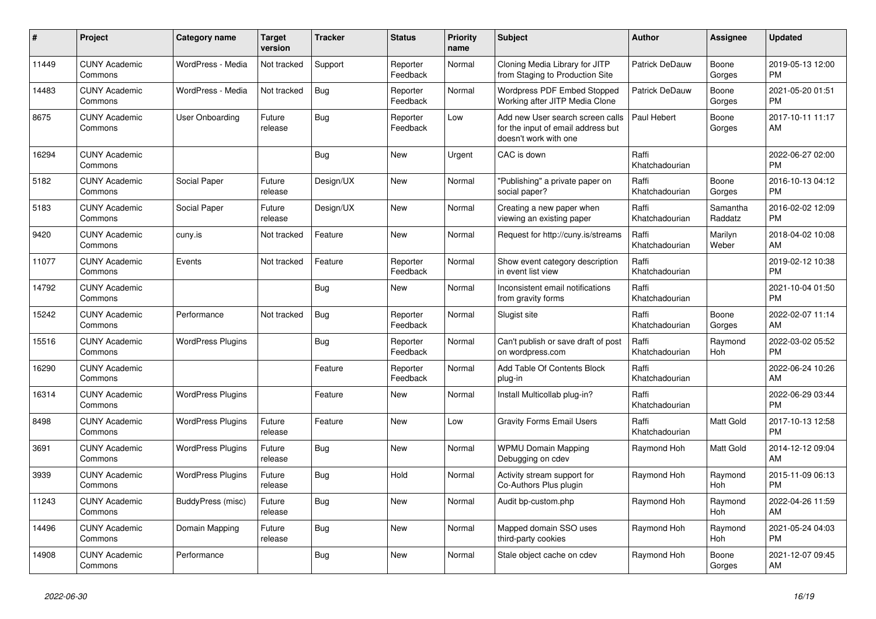| #     | Project                         | <b>Category name</b>     | <b>Target</b><br>version | <b>Tracker</b> | <b>Status</b>        | <b>Priority</b><br>name | <b>Subject</b>                                                                                  | <b>Author</b>           | Assignee              | <b>Updated</b>                |
|-------|---------------------------------|--------------------------|--------------------------|----------------|----------------------|-------------------------|-------------------------------------------------------------------------------------------------|-------------------------|-----------------------|-------------------------------|
| 11449 | <b>CUNY Academic</b><br>Commons | WordPress - Media        | Not tracked              | Support        | Reporter<br>Feedback | Normal                  | Cloning Media Library for JITP<br>from Staging to Production Site                               | Patrick DeDauw          | Boone<br>Gorges       | 2019-05-13 12:00<br><b>PM</b> |
| 14483 | <b>CUNY Academic</b><br>Commons | WordPress - Media        | Not tracked              | Bug            | Reporter<br>Feedback | Normal                  | Wordpress PDF Embed Stopped<br>Working after JITP Media Clone                                   | Patrick DeDauw          | Boone<br>Gorges       | 2021-05-20 01:51<br><b>PM</b> |
| 8675  | <b>CUNY Academic</b><br>Commons | User Onboarding          | Future<br>release        | Bug            | Reporter<br>Feedback | Low                     | Add new User search screen calls<br>for the input of email address but<br>doesn't work with one | Paul Hebert             | Boone<br>Gorges       | 2017-10-11 11:17<br>AM        |
| 16294 | <b>CUNY Academic</b><br>Commons |                          |                          | Bug            | <b>New</b>           | Urgent                  | CAC is down                                                                                     | Raffi<br>Khatchadourian |                       | 2022-06-27 02:00<br><b>PM</b> |
| 5182  | <b>CUNY Academic</b><br>Commons | Social Paper             | Future<br>release        | Design/UX      | New                  | Normal                  | "Publishing" a private paper on<br>social paper?                                                | Raffi<br>Khatchadourian | Boone<br>Gorges       | 2016-10-13 04:12<br><b>PM</b> |
| 5183  | <b>CUNY Academic</b><br>Commons | Social Paper             | Future<br>release        | Design/UX      | New                  | Normal                  | Creating a new paper when<br>viewing an existing paper                                          | Raffi<br>Khatchadourian | Samantha<br>Raddatz   | 2016-02-02 12:09<br><b>PM</b> |
| 9420  | <b>CUNY Academic</b><br>Commons | cuny.is                  | Not tracked              | Feature        | <b>New</b>           | Normal                  | Request for http://cuny.is/streams                                                              | Raffi<br>Khatchadourian | Marilyn<br>Weber      | 2018-04-02 10:08<br>AM        |
| 11077 | <b>CUNY Academic</b><br>Commons | Events                   | Not tracked              | Feature        | Reporter<br>Feedback | Normal                  | Show event category description<br>in event list view                                           | Raffi<br>Khatchadourian |                       | 2019-02-12 10:38<br><b>PM</b> |
| 14792 | <b>CUNY Academic</b><br>Commons |                          |                          | Bug            | New                  | Normal                  | Inconsistent email notifications<br>from gravity forms                                          | Raffi<br>Khatchadourian |                       | 2021-10-04 01:50<br><b>PM</b> |
| 15242 | <b>CUNY Academic</b><br>Commons | Performance              | Not tracked              | Bug            | Reporter<br>Feedback | Normal                  | Slugist site                                                                                    | Raffi<br>Khatchadourian | Boone<br>Gorges       | 2022-02-07 11:14<br>AM        |
| 15516 | <b>CUNY Academic</b><br>Commons | <b>WordPress Plugins</b> |                          | Bug            | Reporter<br>Feedback | Normal                  | Can't publish or save draft of post<br>on wordpress.com                                         | Raffi<br>Khatchadourian | Raymond<br><b>Hoh</b> | 2022-03-02 05:52<br><b>PM</b> |
| 16290 | <b>CUNY Academic</b><br>Commons |                          |                          | Feature        | Reporter<br>Feedback | Normal                  | Add Table Of Contents Block<br>plug-in                                                          | Raffi<br>Khatchadourian |                       | 2022-06-24 10:26<br>AM        |
| 16314 | <b>CUNY Academic</b><br>Commons | <b>WordPress Plugins</b> |                          | Feature        | New                  | Normal                  | Install Multicollab plug-in?                                                                    | Raffi<br>Khatchadourian |                       | 2022-06-29 03:44<br><b>PM</b> |
| 8498  | <b>CUNY Academic</b><br>Commons | <b>WordPress Plugins</b> | Future<br>release        | Feature        | New                  | Low                     | <b>Gravity Forms Email Users</b>                                                                | Raffi<br>Khatchadourian | Matt Gold             | 2017-10-13 12:58<br><b>PM</b> |
| 3691  | <b>CUNY Academic</b><br>Commons | <b>WordPress Plugins</b> | Future<br>release        | Bug            | <b>New</b>           | Normal                  | <b>WPMU Domain Mapping</b><br>Debugging on cdev                                                 | Raymond Hoh             | Matt Gold             | 2014-12-12 09:04<br>AM        |
| 3939  | <b>CUNY Academic</b><br>Commons | <b>WordPress Plugins</b> | Future<br>release        | Bug            | Hold                 | Normal                  | Activity stream support for<br>Co-Authors Plus plugin                                           | Raymond Hoh             | Raymond<br>Hoh        | 2015-11-09 06:13<br><b>PM</b> |
| 11243 | <b>CUNY Academic</b><br>Commons | BuddyPress (misc)        | Future<br>release        | Bug            | <b>New</b>           | Normal                  | Audit bp-custom.php                                                                             | Raymond Hoh             | Raymond<br>Hoh        | 2022-04-26 11:59<br>AM        |
| 14496 | <b>CUNY Academic</b><br>Commons | Domain Mapping           | Future<br>release        | Bug            | New                  | Normal                  | Mapped domain SSO uses<br>third-party cookies                                                   | Raymond Hoh             | Raymond<br>Hoh        | 2021-05-24 04:03<br><b>PM</b> |
| 14908 | <b>CUNY Academic</b><br>Commons | Performance              |                          | <b>Bug</b>     | <b>New</b>           | Normal                  | Stale object cache on cdev                                                                      | Raymond Hoh             | Boone<br>Gorges       | 2021-12-07 09:45<br>AM        |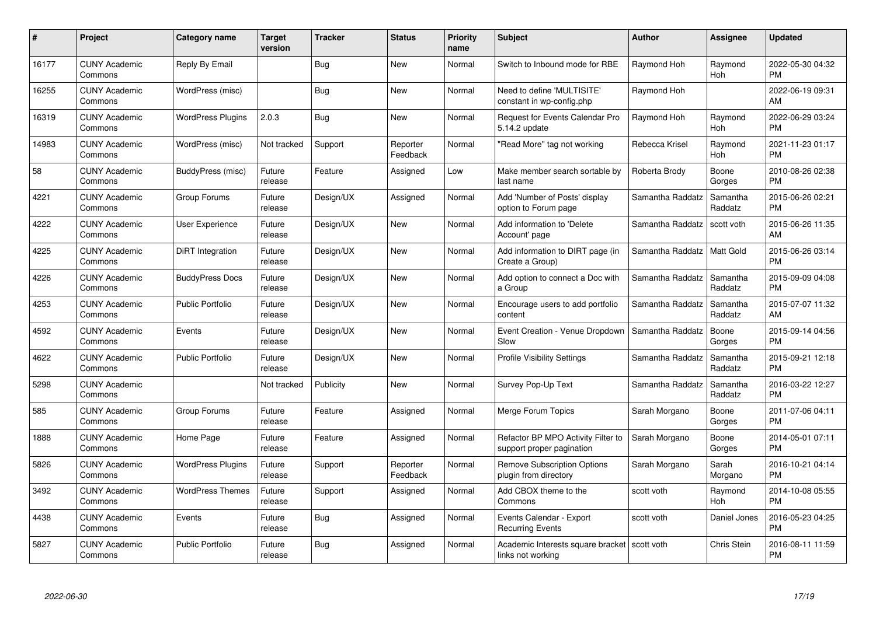| #     | Project                         | <b>Category name</b>     | <b>Target</b><br>version | <b>Tracker</b> | <b>Status</b>        | <b>Priority</b><br>name | <b>Subject</b>                                                  | <b>Author</b>    | Assignee              | <b>Updated</b>                |
|-------|---------------------------------|--------------------------|--------------------------|----------------|----------------------|-------------------------|-----------------------------------------------------------------|------------------|-----------------------|-------------------------------|
| 16177 | <b>CUNY Academic</b><br>Commons | Reply By Email           |                          | Bug            | <b>New</b>           | Normal                  | Switch to Inbound mode for RBE                                  | Raymond Hoh      | Raymond<br><b>Hoh</b> | 2022-05-30 04:32<br><b>PM</b> |
| 16255 | <b>CUNY Academic</b><br>Commons | WordPress (misc)         |                          | <b>Bug</b>     | <b>New</b>           | Normal                  | Need to define 'MULTISITE'<br>constant in wp-config.php         | Raymond Hoh      |                       | 2022-06-19 09:31<br>AM        |
| 16319 | <b>CUNY Academic</b><br>Commons | <b>WordPress Plugins</b> | 2.0.3                    | <b>Bug</b>     | <b>New</b>           | Normal                  | <b>Request for Events Calendar Pro</b><br>5.14.2 update         | Raymond Hoh      | Raymond<br>Hoh        | 2022-06-29 03:24<br><b>PM</b> |
| 14983 | <b>CUNY Academic</b><br>Commons | WordPress (misc)         | Not tracked              | Support        | Reporter<br>Feedback | Normal                  | "Read More" tag not working                                     | Rebecca Krisel   | Raymond<br>Hoh        | 2021-11-23 01:17<br><b>PM</b> |
| 58    | <b>CUNY Academic</b><br>Commons | BuddyPress (misc)        | Future<br>release        | Feature        | Assigned             | Low                     | Make member search sortable by<br>last name                     | Roberta Brody    | Boone<br>Gorges       | 2010-08-26 02:38<br><b>PM</b> |
| 4221  | <b>CUNY Academic</b><br>Commons | Group Forums             | Future<br>release        | Design/UX      | Assigned             | Normal                  | Add 'Number of Posts' display<br>option to Forum page           | Samantha Raddatz | Samantha<br>Raddatz   | 2015-06-26 02:21<br><b>PM</b> |
| 4222  | <b>CUNY Academic</b><br>Commons | <b>User Experience</b>   | Future<br>release        | Design/UX      | New                  | Normal                  | Add information to 'Delete<br>Account' page                     | Samantha Raddatz | scott voth            | 2015-06-26 11:35<br>AM        |
| 4225  | <b>CUNY Academic</b><br>Commons | DiRT Integration         | Future<br>release        | Design/UX      | <b>New</b>           | Normal                  | Add information to DIRT page (in<br>Create a Group)             | Samantha Raddatz | Matt Gold             | 2015-06-26 03:14<br><b>PM</b> |
| 4226  | <b>CUNY Academic</b><br>Commons | <b>BuddyPress Docs</b>   | Future<br>release        | Design/UX      | New                  | Normal                  | Add option to connect a Doc with<br>a Group                     | Samantha Raddatz | Samantha<br>Raddatz   | 2015-09-09 04:08<br><b>PM</b> |
| 4253  | <b>CUNY Academic</b><br>Commons | <b>Public Portfolio</b>  | Future<br>release        | Design/UX      | New                  | Normal                  | Encourage users to add portfolio<br>content                     | Samantha Raddatz | Samantha<br>Raddatz   | 2015-07-07 11:32<br>AM        |
| 4592  | <b>CUNY Academic</b><br>Commons | Events                   | Future<br>release        | Design/UX      | New                  | Normal                  | Event Creation - Venue Dropdown<br>Slow                         | Samantha Raddatz | Boone<br>Gorges       | 2015-09-14 04:56<br><b>PM</b> |
| 4622  | <b>CUNY Academic</b><br>Commons | <b>Public Portfolio</b>  | Future<br>release        | Design/UX      | New                  | Normal                  | <b>Profile Visibility Settings</b>                              | Samantha Raddatz | Samantha<br>Raddatz   | 2015-09-21 12:18<br><b>PM</b> |
| 5298  | <b>CUNY Academic</b><br>Commons |                          | Not tracked              | Publicity      | New                  | Normal                  | Survey Pop-Up Text                                              | Samantha Raddatz | Samantha<br>Raddatz   | 2016-03-22 12:27<br><b>PM</b> |
| 585   | <b>CUNY Academic</b><br>Commons | Group Forums             | Future<br>release        | Feature        | Assigned             | Normal                  | Merge Forum Topics                                              | Sarah Morgano    | Boone<br>Gorges       | 2011-07-06 04:11<br><b>PM</b> |
| 1888  | <b>CUNY Academic</b><br>Commons | Home Page                | Future<br>release        | Feature        | Assigned             | Normal                  | Refactor BP MPO Activity Filter to<br>support proper pagination | Sarah Morgano    | Boone<br>Gorges       | 2014-05-01 07:11<br><b>PM</b> |
| 5826  | <b>CUNY Academic</b><br>Commons | <b>WordPress Plugins</b> | Future<br>release        | Support        | Reporter<br>Feedback | Normal                  | <b>Remove Subscription Options</b><br>plugin from directory     | Sarah Morgano    | Sarah<br>Morgano      | 2016-10-21 04:14<br><b>PM</b> |
| 3492  | <b>CUNY Academic</b><br>Commons | <b>WordPress Themes</b>  | Future<br>release        | Support        | Assigned             | Normal                  | Add CBOX theme to the<br>Commons                                | scott voth       | Raymond<br>Hoh        | 2014-10-08 05:55<br><b>PM</b> |
| 4438  | <b>CUNY Academic</b><br>Commons | Events                   | Future<br>release        | Bug            | Assigned             | Normal                  | Events Calendar - Export<br><b>Recurring Events</b>             | scott voth       | Daniel Jones          | 2016-05-23 04:25<br><b>PM</b> |
| 5827  | <b>CUNY Academic</b><br>Commons | <b>Public Portfolio</b>  | Future<br>release        | Bug            | Assigned             | Normal                  | Academic Interests square bracket<br>links not working          | scott voth       | <b>Chris Stein</b>    | 2016-08-11 11:59<br>PM        |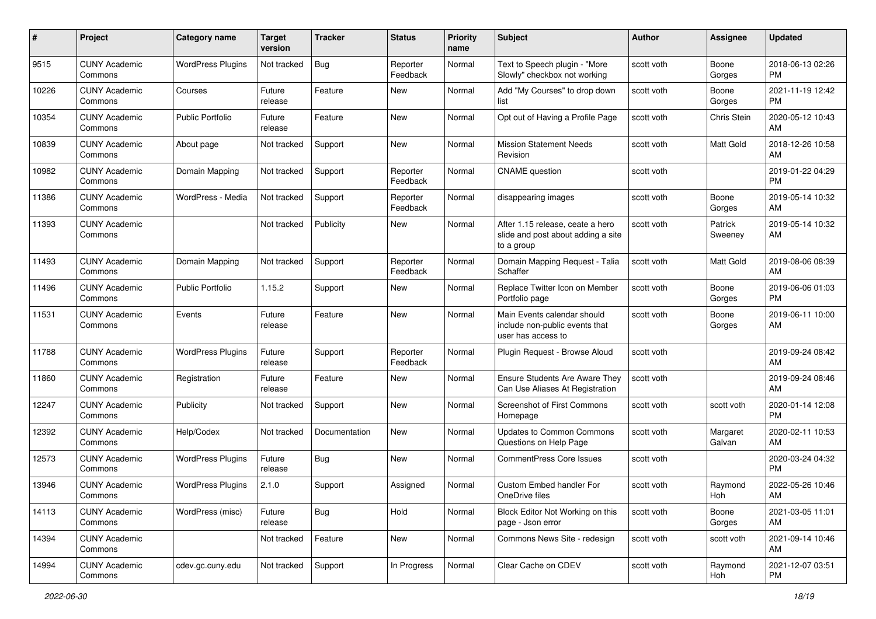| #     | Project                         | <b>Category name</b>     | <b>Target</b><br>version | Tracker       | <b>Status</b>        | <b>Priority</b><br>name | <b>Subject</b>                                                                       | Author     | Assignee           | <b>Updated</b>                |
|-------|---------------------------------|--------------------------|--------------------------|---------------|----------------------|-------------------------|--------------------------------------------------------------------------------------|------------|--------------------|-------------------------------|
| 9515  | <b>CUNY Academic</b><br>Commons | <b>WordPress Plugins</b> | Not tracked              | Bug           | Reporter<br>Feedback | Normal                  | Text to Speech plugin - "More<br>Slowly" checkbox not working                        | scott voth | Boone<br>Gorges    | 2018-06-13 02:26<br><b>PM</b> |
| 10226 | <b>CUNY Academic</b><br>Commons | Courses                  | Future<br>release        | Feature       | New                  | Normal                  | Add "My Courses" to drop down<br>list                                                | scott voth | Boone<br>Gorges    | 2021-11-19 12:42<br><b>PM</b> |
| 10354 | <b>CUNY Academic</b><br>Commons | Public Portfolio         | Future<br>release        | Feature       | <b>New</b>           | Normal                  | Opt out of Having a Profile Page                                                     | scott voth | Chris Stein        | 2020-05-12 10:43<br>AM        |
| 10839 | <b>CUNY Academic</b><br>Commons | About page               | Not tracked              | Support       | <b>New</b>           | Normal                  | <b>Mission Statement Needs</b><br>Revision                                           | scott voth | Matt Gold          | 2018-12-26 10:58<br>AM        |
| 10982 | <b>CUNY Academic</b><br>Commons | Domain Mapping           | Not tracked              | Support       | Reporter<br>Feedback | Normal                  | <b>CNAME</b> question                                                                | scott voth |                    | 2019-01-22 04:29<br><b>PM</b> |
| 11386 | <b>CUNY Academic</b><br>Commons | WordPress - Media        | Not tracked              | Support       | Reporter<br>Feedback | Normal                  | disappearing images                                                                  | scott voth | Boone<br>Gorges    | 2019-05-14 10:32<br>AM        |
| 11393 | <b>CUNY Academic</b><br>Commons |                          | Not tracked              | Publicity     | New                  | Normal                  | After 1.15 release, ceate a hero<br>slide and post about adding a site<br>to a group | scott voth | Patrick<br>Sweeney | 2019-05-14 10:32<br>AM        |
| 11493 | <b>CUNY Academic</b><br>Commons | Domain Mapping           | Not tracked              | Support       | Reporter<br>Feedback | Normal                  | Domain Mapping Request - Talia<br>Schaffer                                           | scott voth | Matt Gold          | 2019-08-06 08:39<br>AM        |
| 11496 | <b>CUNY Academic</b><br>Commons | <b>Public Portfolio</b>  | 1.15.2                   | Support       | <b>New</b>           | Normal                  | Replace Twitter Icon on Member<br>Portfolio page                                     | scott voth | Boone<br>Gorges    | 2019-06-06 01:03<br><b>PM</b> |
| 11531 | <b>CUNY Academic</b><br>Commons | Events                   | Future<br>release        | Feature       | New                  | Normal                  | Main Events calendar should<br>include non-public events that<br>user has access to  | scott voth | Boone<br>Gorges    | 2019-06-11 10:00<br>AM        |
| 11788 | <b>CUNY Academic</b><br>Commons | <b>WordPress Plugins</b> | Future<br>release        | Support       | Reporter<br>Feedback | Normal                  | Plugin Request - Browse Aloud                                                        | scott voth |                    | 2019-09-24 08:42<br>AM        |
| 11860 | <b>CUNY Academic</b><br>Commons | Registration             | Future<br>release        | Feature       | <b>New</b>           | Normal                  | Ensure Students Are Aware They<br>Can Use Aliases At Registration                    | scott voth |                    | 2019-09-24 08:46<br>AM        |
| 12247 | <b>CUNY Academic</b><br>Commons | Publicity                | Not tracked              | Support       | <b>New</b>           | Normal                  | <b>Screenshot of First Commons</b><br>Homepage                                       | scott voth | scott voth         | 2020-01-14 12:08<br><b>PM</b> |
| 12392 | <b>CUNY Academic</b><br>Commons | Help/Codex               | Not tracked              | Documentation | <b>New</b>           | Normal                  | <b>Updates to Common Commons</b><br>Questions on Help Page                           | scott voth | Margaret<br>Galvan | 2020-02-11 10:53<br>AM        |
| 12573 | <b>CUNY Academic</b><br>Commons | <b>WordPress Plugins</b> | Future<br>release        | Bug           | New                  | Normal                  | <b>CommentPress Core Issues</b>                                                      | scott voth |                    | 2020-03-24 04:32<br><b>PM</b> |
| 13946 | <b>CUNY Academic</b><br>Commons | <b>WordPress Plugins</b> | 2.1.0                    | Support       | Assigned             | Normal                  | <b>Custom Embed handler For</b><br>OneDrive files                                    | scott voth | Raymond<br>Hoh     | 2022-05-26 10:46<br>AM        |
| 14113 | <b>CUNY Academic</b><br>Commons | WordPress (misc)         | Future<br>release        | Bug           | Hold                 | Normal                  | Block Editor Not Working on this<br>page - Json error                                | scott voth | Boone<br>Gorges    | 2021-03-05 11:01<br>AM        |
| 14394 | <b>CUNY Academic</b><br>Commons |                          | Not tracked              | Feature       | New                  | Normal                  | Commons News Site - redesign                                                         | scott voth | scott voth         | 2021-09-14 10:46<br>AM        |
| 14994 | <b>CUNY Academic</b><br>Commons | cdev.gc.cuny.edu         | Not tracked              | Support       | In Progress          | Normal                  | Clear Cache on CDEV                                                                  | scott voth | Raymond<br>Hoh     | 2021-12-07 03:51<br><b>PM</b> |